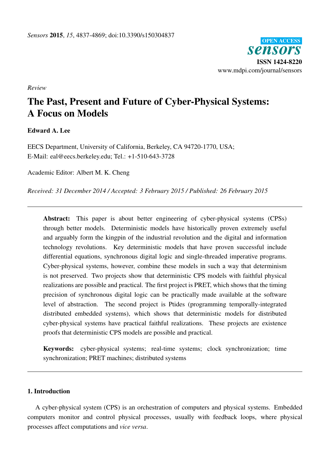

*Review*

# The Past, Present and Future of Cyber-Physical Systems: A Focus on Models

# Edward A. Lee

EECS Department, University of California, Berkeley, CA 94720-1770, USA; E-Mail: eal@eecs.berkeley.edu; Tel.: +1-510-643-3728

Academic Editor: Albert M. K. Cheng

*Received: 31 December 2014 / Accepted: 3 February 2015 / Published: 26 February 2015*

Abstract: This paper is about better engineering of cyber-physical systems (CPSs) through better models. Deterministic models have historically proven extremely useful and arguably form the kingpin of the industrial revolution and the digital and information technology revolutions. Key deterministic models that have proven successful include differential equations, synchronous digital logic and single-threaded imperative programs. Cyber-physical systems, however, combine these models in such a way that determinism is not preserved. Two projects show that deterministic CPS models with faithful physical realizations are possible and practical. The first project is PRET, which shows that the timing precision of synchronous digital logic can be practically made available at the software level of abstraction. The second project is Ptides (programming temporally-integrated distributed embedded systems), which shows that deterministic models for distributed cyber-physical systems have practical faithful realizations. These projects are existence proofs that deterministic CPS models are possible and practical.

Keywords: cyber-physical systems; real-time systems; clock synchronization; time synchronization; PRET machines; distributed systems

# 1. Introduction

A cyber-physical system (CPS) is an orchestration of computers and physical systems. Embedded computers monitor and control physical processes, usually with feedback loops, where physical processes affect computations and *vice versa*.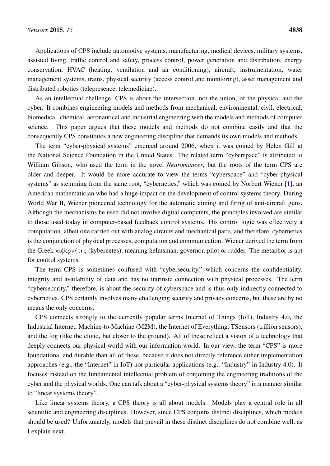Applications of CPS include automotive systems, manufacturing, medical devices, military systems, assisted living, traffic control and safety, process control, power generation and distribution, energy conservation, HVAC (heating, ventilation and air conditioning), aircraft, instrumentation, water management systems, trains, physical security (access control and monitoring), asset management and distributed robotics (telepresence, telemedicine).

As an intellectual challenge, CPS is about the intersection, not the union, of the physical and the cyber. It combines engineering models and methods from mechanical, environmental, civil, electrical, biomedical, chemical, aeronautical and industrial engineering with the models and methods of computer science. This paper argues that these models and methods do not combine easily and that the consequently CPS constitutes a new engineering discipline that demands its own models and methods.

The term "cyber-physical systems" emerged around 2006, when it was coined by Helen Gill at the National Science Foundation in the United States. The related term "cyberspace" is attributed to William Gibson, who used the term in the novel *Neuromancer*, but the roots of the term CPS are older and deeper. It would be more accurate to view the terms "cyberspace" and "cyber-physical systems" as stemming from the same root, "cybernetics," which was coined by Norbert Wiener [\[1\]](#page-28-0), an American mathematician who had a huge impact on the development of control systems theory. During World War II, Wiener pioneered technology for the automatic aiming and firing of anti-aircraft guns. Although the mechanisms he used did not involve digital computers, the principles involved are similar to those used today in computer-based feedback control systems. His control logic was effectively a computation, albeit one carried out with analog circuits and mechanical parts, and therefore, cybernetics is the conjunction of physical processes, computation and communication. Wiener derived the term from the Greek κυβερνήτης (kybernetes), meaning helmsman, governor, pilot or rudder. The metaphor is apt for control systems.

The term CPS is sometimes confused with "cybersecurity," which concerns the confidentiality, integrity and availability of data and has no intrinsic connection with physical processes. The term "cybersecurity," therefore, is about the security of cyberspace and is thus only indirectly connected to cybernetics. CPS certainly involves many challenging security and privacy concerns, but these are by no means the only concerns.

CPS connects strongly to the currently popular terms Internet of Things (IoT), Industry 4.0, the Industrial Internet, Machine-to-Machine (M2M), the Internet of Everything, TSensors (trillion sensors), and the fog (like the cloud, but closer to the ground). All of these reflect a vision of a technology that deeply connects our physical world with our information world. In our view, the term "CPS" is more foundational and durable than all of these, because it does not directly reference either implementation approaches (e.g., the "Internet" in IoT) nor particular applications (e.g., "Industry" in Industry 4.0). It focuses instead on the fundamental intellectual problem of conjoining the engineering traditions of the cyber and the physical worlds. One can talk about a "cyber-physical systems theory" in a manner similar to "linear systems theory".

Like linear systems theory, a CPS theory is all about models. Models play a central role in all scientific and engineering disciplines. However, since CPS conjoins distinct disciplines, which models should be used? Unfortunately, models that prevail in these distinct disciplines do not combine well, as I explain next.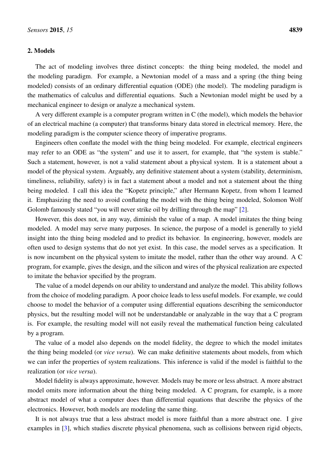#### 2. Models

The act of modeling involves three distinct concepts: the thing being modeled, the model and the modeling paradigm. For example, a Newtonian model of a mass and a spring (the thing being modeled) consists of an ordinary differential equation (ODE) (the model). The modeling paradigm is the mathematics of calculus and differential equations. Such a Newtonian model might be used by a mechanical engineer to design or analyze a mechanical system.

A very different example is a computer program written in C (the model), which models the behavior of an electrical machine (a computer) that transforms binary data stored in electrical memory. Here, the modeling paradigm is the computer science theory of imperative programs.

Engineers often conflate the model with the thing being modeled. For example, electrical engineers may refer to an ODE as "the system" and use it to assert, for example, that "the system is stable." Such a statement, however, is not a valid statement about a physical system. It is a statement about a model of the physical system. Arguably, any definitive statement about a system (stability, determinism, timeliness, reliability, safety) is in fact a statement about a model and not a statement about the thing being modeled. I call this idea the "Kopetz principle," after Hermann Kopetz, from whom I learned it. Emphasizing the need to avoid conflating the model with the thing being modeled, Solomon Wolf Golomb famously stated "you will never strike oil by drilling through the map" [\[2\]](#page-28-1).

However, this does not, in any way, diminish the value of a map. A model imitates the thing being modeled. A model may serve many purposes. In science, the purpose of a model is generally to yield insight into the thing being modeled and to predict its behavior. In engineering, however, models are often used to design systems that do not yet exist. In this case, the model serves as a specification. It is now incumbent on the physical system to imitate the model, rather than the other way around. A C program, for example, gives the design, and the silicon and wires of the physical realization are expected to imitate the behavior specified by the program.

The value of a model depends on our ability to understand and analyze the model. This ability follows from the choice of modeling paradigm. A poor choice leads to less useful models. For example, we could choose to model the behavior of a computer using differential equations describing the semiconductor physics, but the resulting model will not be understandable or analyzable in the way that a C program is. For example, the resulting model will not easily reveal the mathematical function being calculated by a program.

The value of a model also depends on the model fidelity, the degree to which the model imitates the thing being modeled (or *vice versa*). We can make definitive statements about models, from which we can infer the properties of system realizations. This inference is valid if the model is faithful to the realization (or *vice versa*).

Model fidelity is always approximate, however. Models may be more or less abstract. A more abstract model omits more information about the thing being modeled. A C program, for example, is a more abstract model of what a computer does than differential equations that describe the physics of the electronics. However, both models are modeling the same thing.

It is not always true that a less abstract model is more faithful than a more abstract one. I give examples in [\[3\]](#page-28-2), which studies discrete physical phenomena, such as collisions between rigid objects,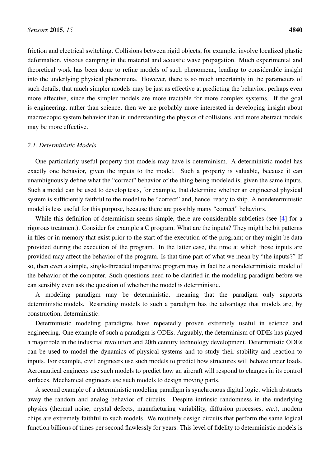friction and electrical switching. Collisions between rigid objects, for example, involve localized plastic deformation, viscous damping in the material and acoustic wave propagation. Much experimental and theoretical work has been done to refine models of such phenomena, leading to considerable insight into the underlying physical phenomena. However, there is so much uncertainty in the parameters of such details, that much simpler models may be just as effective at predicting the behavior; perhaps even more effective, since the simpler models are more tractable for more complex systems. If the goal is engineering, rather than science, then we are probably more interested in developing insight about macroscopic system behavior than in understanding the physics of collisions, and more abstract models may be more effective.

## *2.1. Deterministic Models*

One particularly useful property that models may have is determinism. A deterministic model has exactly one behavior, given the inputs to the model. Such a property is valuable, because it can unambiguously define what the "correct" behavior of the thing being modeled is, given the same inputs. Such a model can be used to develop tests, for example, that determine whether an engineered physical system is sufficiently faithful to the model to be "correct" and, hence, ready to ship. A nondeterministic model is less useful for this purpose, because there are possibly many "correct" behaviors.

While this definition of determinism seems simple, there are considerable subtleties (see [\[4\]](#page-28-3) for a rigorous treatment). Consider for example a C program. What are the inputs? They might be bit patterns in files or in memory that exist prior to the start of the execution of the program; or they might be data provided during the execution of the program. In the latter case, the time at which those inputs are provided may affect the behavior of the program. Is that time part of what we mean by "the inputs?" If so, then even a simple, single-threaded imperative program may in fact be a nondeterministic model of the behavior of the computer. Such questions need to be clarified in the modeling paradigm before we can sensibly even ask the question of whether the model is deterministic.

A modeling paradigm may be deterministic, meaning that the paradigm only supports deterministic models. Restricting models to such a paradigm has the advantage that models are, by construction, deterministic.

Deterministic modeling paradigms have repeatedly proven extremely useful in science and engineering. One example of such a paradigm is ODEs. Arguably, the determinism of ODEs has played a major role in the industrial revolution and 20th century technology development. Deterministic ODEs can be used to model the dynamics of physical systems and to study their stability and reaction to inputs. For example, civil engineers use such models to predict how structures will behave under loads. Aeronautical engineers use such models to predict how an aircraft will respond to changes in its control surfaces. Mechanical engineers use such models to design moving parts.

A second example of a deterministic modeling paradigm is synchronous digital logic, which abstracts away the random and analog behavior of circuits. Despite intrinsic randomness in the underlying physics (thermal noise, crystal defects, manufacturing variability, diffusion processes, *etc*.), modern chips are extremely faithful to such models. We routinely design circuits that perform the same logical function billions of times per second flawlessly for years. This level of fidelity to deterministic models is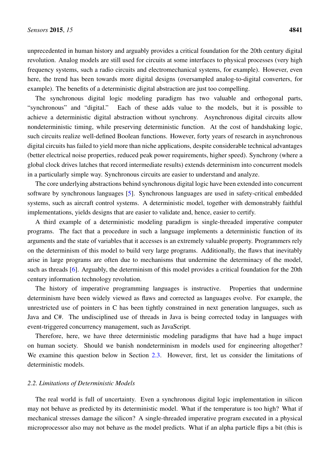unprecedented in human history and arguably provides a critical foundation for the 20th century digital revolution. Analog models are still used for circuits at some interfaces to physical processes (very high frequency systems, such a radio circuits and electromechanical systems, for example). However, even here, the trend has been towards more digital designs (oversampled analog-to-digital converters, for example). The benefits of a deterministic digital abstraction are just too compelling.

The synchronous digital logic modeling paradigm has two valuable and orthogonal parts, "synchronous" and "digital." Each of these adds value to the models, but it is possible to achieve a deterministic digital abstraction without synchrony. Asynchronous digital circuits allow nondeterministic timing, while preserving deterministic function. At the cost of handshaking logic, such circuits realize well-defined Boolean functions. However, forty years of research in asynchronous digital circuits has failed to yield more than niche applications, despite considerable technical advantages (better electrical noise properties, reduced peak power requirements, higher speed). Synchrony (where a global clock drives latches that record intermediate results) extends determinism into concurrent models in a particularly simple way. Synchronous circuits are easier to understand and analyze.

The core underlying abstractions behind synchronous digital logic have been extended into concurrent software by synchronous languages [\[5\]](#page-28-4). Synchronous languages are used in safety-critical embedded systems, such as aircraft control systems. A deterministic model, together with demonstrably faithful implementations, yields designs that are easier to validate and, hence, easier to certify.

A third example of a deterministic modeling paradigm is single-threaded imperative computer programs. The fact that a procedure in such a language implements a deterministic function of its arguments and the state of variables that it accesses is an extremely valuable property. Programmers rely on the determinism of this model to build very large programs. Additionally, the flaws that inevitably arise in large programs are often due to mechanisms that undermine the determinacy of the model, such as threads [\[6\]](#page-28-5). Arguably, the determinism of this model provides a critical foundation for the 20th century information technology revolution.

The history of imperative programming languages is instructive. Properties that undermine determinism have been widely viewed as flaws and corrected as languages evolve. For example, the unrestricted use of pointers in C has been tightly constrained in next generation languages, such as Java and C#. The undisciplined use of threads in Java is being corrected today in languages with event-triggered concurrency management, such as JavaScript.

Therefore, here, we have three deterministic modeling paradigms that have had a huge impact on human society. Should we banish nondeterminism in models used for engineering altogether? We examine this question below in Section [2.3.](#page-6-0) However, first, let us consider the limitations of deterministic models.

## *2.2. Limitations of Deterministic Models*

The real world is full of uncertainty. Even a synchronous digital logic implementation in silicon may not behave as predicted by its deterministic model. What if the temperature is too high? What if mechanical stresses damage the silicon? A single-threaded imperative program executed in a physical microprocessor also may not behave as the model predicts. What if an alpha particle flips a bit (this is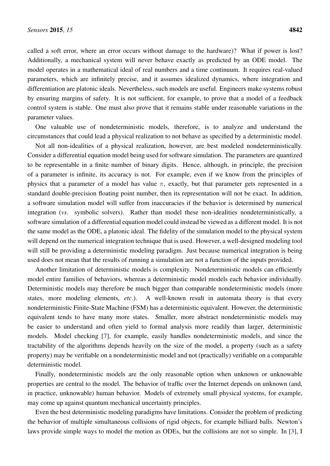called a soft error, where an error occurs without damage to the hardware)? What if power is lost? Additionally, a mechanical system will never behave exactly as predicted by an ODE model. The model operates in a mathematical ideal of real numbers and a time continuum. It requires real-valued parameters, which are infinitely precise, and it assumes idealized dynamics, where integration and differentiation are platonic ideals. Nevertheless, such models are useful. Engineers make systems robust by ensuring margins of safety. It is not sufficient, for example, to prove that a model of a feedback control system is stable. One must also prove that it remains stable under reasonable variations in the parameter values.

One valuable use of nondeterministic models, therefore, is to analyze and understand the circumstances that could lead a physical realization to not behave as specified by a deterministic model.

Not all non-idealities of a physical realization, however, are best modeled nondeterministically. Consider a differential equation model being used for software simulation. The parameters are quantized to be representable in a finite number of binary digits. Hence, although, in principle, the precision of a parameter is infinite, its accuracy is not. For example, even if we know from the principles of physics that a parameter of a model has value  $\pi$ , exactly, but that parameter gets represented in a standard double-precision floating point number, then its representation will not be exact. In addition, a software simulation model will suffer from inaccuracies if the behavior is determined by numerical integration (*vs*. symbolic solvers). Rather than model these non-idealities nondeterministically, a software simulation of a differential equation model could instead be viewed as a different model. It is not the same model as the ODE, a platonic ideal. The fidelity of the simulation model to the physical system will depend on the numerical integration technique that is used. However, a well-designed modeling tool will still be providing a deterministic modeling paradigm. Just because numerical integration is being used does not mean that the results of running a simulation are not a function of the inputs provided.

Another limitation of deterministic models is complexity. Nondeterministic models can efficiently model entire families of behaviors, whereas a deterministic model models each behavior individually. Deterministic models may therefore be much bigger than comparable nondeterministic models (more states, more modeling elements, *etc*.). A well-known result in automata theory is that every nondeterministic Finite-State Machine (FSM) has a deterministic equivalent. However, the deterministic equivalent tends to have many more states. Smaller, more abstract nondeterministic models may be easier to understand and often yield to formal analysis more readily than larger, deterministic models. Model checking [\[7\]](#page-28-6), for example, easily handles nondeterministic models, and since the tractability of the algorithms depends heavily on the size of the model, a property (such as a safety property) may be verifiable on a nondeterministic model and not (practically) verifiable on a comparable deterministic model.

Finally, nondeterministic models are the only reasonable option when unknown or unknowable properties are central to the model. The behavior of traffic over the Internet depends on unknown (and, in practice, unknowable) human behavior. Models of extremely small physical systems, for example, may come up against quantum mechanical uncertainty principles.

Even the best deterministic modeling paradigms have limitations. Consider the problem of predicting the behavior of multiple simultaneous collisions of rigid objects, for example billiard balls. Newton's laws provide simple ways to model the motion as ODEs, but the collisions are not so simple. In [\[3\]](#page-28-2), I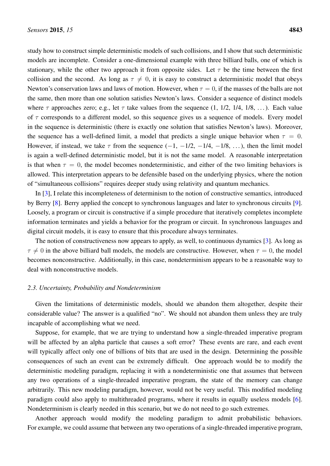study how to construct simple deterministic models of such collisions, and I show that such deterministic models are incomplete. Consider a one-dimensional example with three billiard balls, one of which is stationary, while the other two approach it from opposite sides. Let  $\tau$  be the time between the first collision and the second. As long as  $\tau \neq 0$ , it is easy to construct a deterministic model that obeys Newton's conservation laws and laws of motion. However, when  $\tau = 0$ , if the masses of the balls are not the same, then more than one solution satisfies Newton's laws. Consider a sequence of distinct models where  $\tau$  approaches zero; e.g., let  $\tau$  take values from the sequence (1, 1/2, 1/4, 1/8, ...). Each value of  $\tau$  corresponds to a different model, so this sequence gives us a sequence of models. Every model in the sequence is deterministic (there is exactly one solution that satisfies Newton's laws). Moreover, the sequence has a well-defined limit, a model that predicts a single unique behavior when  $\tau = 0$ . However, if instead, we take  $\tau$  from the sequence  $(-1, -1/2, -1/4, -1/8, \ldots)$ , then the limit model is again a well-defined deterministic model, but it is not the same model. A reasonable interpretation is that when  $\tau = 0$ , the model becomes nondeterministic, and either of the two limiting behaviors is allowed. This interpretation appears to be defensible based on the underlying physics, where the notion of "simultaneous collisions" requires deeper study using relativity and quantum mechanics.

In [\[3\]](#page-28-2), I relate this incompleteness of determinism to the notion of constructive semantics, introduced by Berry [\[8\]](#page-28-7). Berry applied the concept to synchronous languages and later to synchronous circuits [\[9\]](#page-28-8). Loosely, a program or circuit is constructive if a simple procedure that iteratively completes incomplete information terminates and yields a behavior for the program or circuit. In synchronous languages and digital circuit models, it is easy to ensure that this procedure always terminates.

The notion of constructiveness now appears to apply, as well, to continuous dynamics [\[3\]](#page-28-2). As long as  $\tau \neq 0$  in the above billiard ball models, the models are constructive. However, when  $\tau = 0$ , the model becomes nonconstructive. Additionally, in this case, nondeterminism appears to be a reasonable way to deal with nonconstructive models.

#### <span id="page-6-0"></span>*2.3. Uncertainty, Probability and Nondeterminism*

Given the limitations of deterministic models, should we abandon them altogether, despite their considerable value? The answer is a qualified "no". We should not abandon them unless they are truly incapable of accomplishing what we need.

Suppose, for example, that we are trying to understand how a single-threaded imperative program will be affected by an alpha particle that causes a soft error? These events are rare, and each event will typically affect only one of billions of bits that are used in the design. Determining the possible consequences of such an event can be extremely difficult. One approach would be to modify the deterministic modeling paradigm, replacing it with a nondeterministic one that assumes that between any two operations of a single-threaded imperative program, the state of the memory can change arbitrarily. This new modeling paradigm, however, would not be very useful. This modified modeling paradigm could also apply to multithreaded programs, where it results in equally useless models [\[6\]](#page-28-5). Nondeterminism is clearly needed in this scenario, but we do not need to go such extremes.

Another approach would modify the modeling paradigm to admit probabilistic behaviors. For example, we could assume that between any two operations of a single-threaded imperative program,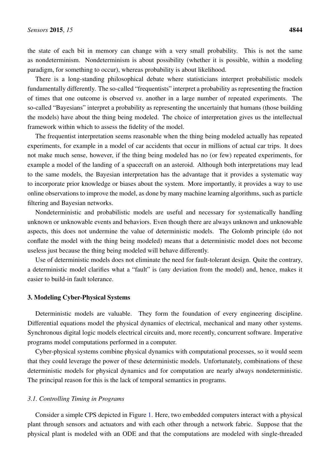the state of each bit in memory can change with a very small probability. This is not the same as nondeterminism. Nondeterminism is about possibility (whether it is possible, within a modeling paradigm, for something to occur), whereas probability is about likelihood.

There is a long-standing philosophical debate where statisticians interpret probabilistic models fundamentally differently. The so-called "frequentists" interpret a probability as representing the fraction of times that one outcome is observed *vs*. another in a large number of repeated experiments. The so-called "Bayesians" interpret a probability as representing the uncertainly that humans (those building the models) have about the thing being modeled. The choice of interpretation gives us the intellectual framework within which to assess the fidelity of the model.

The frequentist interpretation seems reasonable when the thing being modeled actually has repeated experiments, for example in a model of car accidents that occur in millions of actual car trips. It does not make much sense, however, if the thing being modeled has no (or few) repeated experiments, for example a model of the landing of a spacecraft on an asteroid. Although both interpretations may lead to the same models, the Bayesian interpretation has the advantage that it provides a systematic way to incorporate prior knowledge or biases about the system. More importantly, it provides a way to use online observations to improve the model, as done by many machine learning algorithms, such as particle filtering and Bayesian networks.

Nondeterministic and probabilistic models are useful and necessary for systematically handling unknown or unknowable events and behaviors. Even though there are always unknown and unknowable aspects, this does not undermine the value of deterministic models. The Golomb principle (do not conflate the model with the thing being modeled) means that a deterministic model does not become useless just because the thing being modeled will behave differently.

Use of deterministic models does not eliminate the need for fault-tolerant design. Quite the contrary, a deterministic model clarifies what a "fault" is (any deviation from the model) and, hence, makes it easier to build-in fault tolerance.

# 3. Modeling Cyber-Physical Systems

Deterministic models are valuable. They form the foundation of every engineering discipline. Differential equations model the physical dynamics of electrical, mechanical and many other systems. Synchronous digital logic models electrical circuits and, more recently, concurrent software. Imperative programs model computations performed in a computer.

Cyber-physical systems combine physical dynamics with computational processes, so it would seem that they could leverage the power of these deterministic models. Unfortunately, combinations of these deterministic models for physical dynamics and for computation are nearly always nondeterministic. The principal reason for this is the lack of temporal semantics in programs.

#### *3.1. Controlling Timing in Programs*

Consider a simple CPS depicted in Figure [1.](#page-8-0) Here, two embedded computers interact with a physical plant through sensors and actuators and with each other through a network fabric. Suppose that the physical plant is modeled with an ODE and that the computations are modeled with single-threaded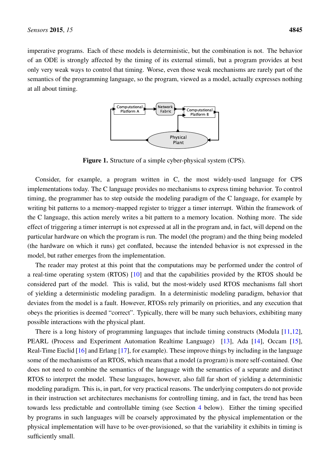<span id="page-8-0"></span>imperative programs. Each of these models is deterministic, but the combination is not. The behavior of an ODE is strongly affected by the timing of its external stimuli, but a program provides at best only very weak ways to control that timing. Worse, even those weak mechanisms are rarely part of the semantics of the programming language, so the program, viewed as a model, actually expresses nothing at all about timing.



Figure 1. Structure of a simple cyber-physical system (CPS).

Consider, for example, a program written in C, the most widely-used language for CPS implementations today. The C language provides no mechanisms to express timing behavior. To control timing, the programmer has to step outside the modeling paradigm of the C language, for example by writing bit patterns to a memory-mapped register to trigger a timer interrupt. Within the framework of the C language, this action merely writes a bit pattern to a memory location. Nothing more. The side effect of triggering a timer interrupt is not expressed at all in the program and, in fact, will depend on the particular hardware on which the program is run. The model (the program) and the thing being modeled (the hardware on which it runs) get conflated, because the intended behavior is not expressed in the model, but rather emerges from the implementation.

The reader may protest at this point that the computations may be performed under the control of a real-time operating system (RTOS) [\[10\]](#page-28-9) and that the capabilities provided by the RTOS should be considered part of the model. This is valid, but the most-widely used RTOS mechanisms fall short of yielding a deterministic modeling paradigm. In a deterministic modeling paradigm, behavior that deviates from the model is a fault. However, RTOSs rely primarily on priorities, and any execution that obeys the priorities is deemed "correct". Typically, there will be many such behaviors, exhibiting many possible interactions with the physical plant.

There is a long history of programming languages that include timing constructs (Modula [\[11,](#page-28-10)[12\]](#page-28-11), PEARL (Process and Experiment Automation Realtime Language) [\[13\]](#page-28-12), Ada [\[14\]](#page-29-0), Occam [\[15\]](#page-29-1), Real-Time Euclid [\[16\]](#page-29-2) and Erlang [\[17\]](#page-29-3), for example). These improve things by including in the language some of the mechanisms of an RTOS, which means that a model (a program) is more self-contained. One does not need to combine the semantics of the language with the semantics of a separate and distinct RTOS to interpret the model. These languages, however, also fall far short of yielding a deterministic modeling paradigm. This is, in part, for very practical reasons. The underlying computers do not provide in their instruction set architectures mechanisms for controlling timing, and in fact, the trend has been towards less predictable and controllable timing (see Section [4](#page-11-0) below). Either the timing specified by programs in such languages will be coarsely approximated by the physical implementation or the physical implementation will have to be over-provisioned, so that the variability it exhibits in timing is sufficiently small.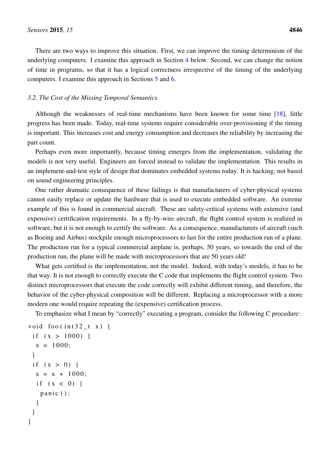There are two ways to improve this situation. First, we can improve the timing determinism of the underlying computers. I examine this approach in Section [4](#page-11-0) below. Second, we can change the notion of time in programs, so that it has a logical correctness irrespective of the timing of the underlying computers. I examine this approach in Sections [5](#page-15-0) and [6.](#page-19-0)

# *3.2. The Cost of the Missing Temporal Semantics*

Although the weaknesses of real-time mechanisms have been known for some time [\[18\]](#page-29-4), little progress has been made. Today, real-time systems require considerable over-provisioning if the timing is important. This increases cost and energy consumption and decreases the reliability by increasing the part count.

Perhaps even more importantly, because timing emerges from the implementation, validating the models is not very useful. Engineers are forced instead to validate the implementation. This results in an implement-and-test style of design that dominates embedded systems today. It is hacking, not based on sound engineering principles.

One rather dramatic consequence of these failings is that manufacturers of cyber-physical systems cannot easily replace or update the hardware that is used to execute embedded software. An extreme example of this is found in commercial aircraft. These are safety-critical systems with extensive (and expensive) certification requirements. In a fly-by-wire aircraft, the flight control system is realized in software, but it is not enough to certify the software. As a consequence, manufacturers of aircraft (such as Boeing and Airbus) stockpile enough microprocessors to last for the entire production run of a plane. The production run for a typical commercial airplane is, perhaps, 50 years, so towards the end of the production run, the plane will be made with microprocessors that are 50 years old!

What gets certified is the implementation, not the model. Indeed, with today's models, it has to be that way. It is not enough to correctly execute the C code that implements the flight control system. Two distinct microprocessors that execute the code correctly will exhibit different timing, and therefore, the behavior of the cyber-physical composition will be different. Replacing a microprocessor with a more modern one would require repeating the (expensive) certification process.

To emphasize what I mean by "correctly" executing a program, consider the following C procedure:

```
void foo (int32_t x) {
 if (x > 1000) {
  x = 1000;}
 if (x > 0) {
  x = x + 1000:
  if (x < 0) {
   panic ();
  }
 }
}
```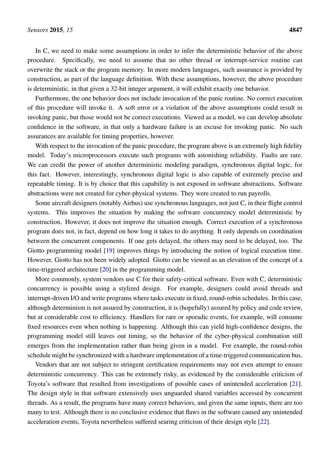In C, we need to make some assumptions in order to infer the deterministic behavior of the above procedure. Specifically, we need to assume that no other thread or interrupt-service routine can overwrite the stack or the program memory. In more modern languages, such assurance is provided by construction, as part of the language definition. With these assumptions, however, the above procedure is deterministic, in that given a 32-bit integer argument, it will exhibit exactly one behavior.

Furthermore, the one behavior does not include invocation of the panic routine. No correct execution of this procedure will invoke it. A soft error or a violation of the above assumptions could result in invoking panic, but those would not be correct executions. Viewed as a model, we can develop absolute confidence in the software, in that only a hardware failure is an excuse for invoking panic. No such assurances are available for timing properties, however.

With respect to the invocation of the panic procedure, the program above is an extremely high fidelity model. Today's microprocessors execute such programs with astonishing reliability. Faults are rare. We can credit the power of another deterministic modeling paradigm, synchronous digital logic, for this fact. However, interestingly, synchronous digital logic is also capable of extremely precise and repeatable timing. It is by choice that this capability is not exposed in software abstractions. Software abstractions were not created for cyber-physical systems. They were created to run payrolls.

Some aircraft designers (notably Airbus) use synchronous languages, not just C, in their flight control systems. This improves the situation by making the software concurrency model deterministic by construction. However, it does not improve the situation enough. Correct execution of a synchronous program does not, in fact, depend on how long it takes to do anything. It only depends on coordination between the concurrent components. If one gets delayed, the others may need to be delayed, too. The Giotto programming model [\[19\]](#page-29-5) improves things by introducing the notion of logical execution time. However, Giotto has not been widely adopted. Giotto can be viewed as an elevation of the concept of a time-triggered architecture [\[20\]](#page-29-6) in the programming model.

More commonly, system vendors use C for their safety-critical software. Even with C, deterministic concurrency is possible using a stylized design. For example, designers could avoid threads and interrupt-driven I/O and write programs where tasks execute in fixed, round-robin schedules. In this case, although determinism is not assured by construction, it is (hopefully) assured by policy and code review, but at considerable cost to efficiency. Handlers for rare or sporadic events, for example, will consume fixed resources even when nothing is happening. Although this can yield high-confidence designs, the programming model still leaves out timing, so the behavior of the cyber-physical combination still emerges from the implementation rather than being given in a model. For example, the round-robin schedule might be synchronized with a hardware implementation of a time-triggered communication bus.

Vendors that are not subject to stringent certification requirements may not even attempt to ensure deterministic concurrency. This can be extremely risky, as evidenced by the considerable criticism of Toyota's software that resulted from investigations of possible cases of unintended acceleration [\[21\]](#page-29-7). The design style in that software extensively uses unguarded shared variables accessed by concurrent threads. As a result, the programs have many correct behaviors, and given the same inputs, there are too many to test. Although there is no conclusive evidence that flaws in the software caused any unintended acceleration events, Toyota nevertheless suffered searing criticism of their design style [\[22\]](#page-29-8).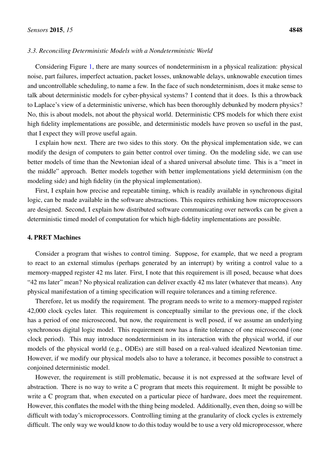#### *3.3. Reconciling Deterministic Models with a Nondeterministic World*

Considering Figure [1,](#page-8-0) there are many sources of nondeterminism in a physical realization: physical noise, part failures, imperfect actuation, packet losses, unknowable delays, unknowable execution times and uncontrollable scheduling, to name a few. In the face of such nondeterminism, does it make sense to talk about deterministic models for cyber-physical systems? I contend that it does. Is this a throwback to Laplace's view of a deterministic universe, which has been thoroughly debunked by modern physics? No, this is about models, not about the physical world. Deterministic CPS models for which there exist high fidelity implementations are possible, and deterministic models have proven so useful in the past, that I expect they will prove useful again.

I explain how next. There are two sides to this story. On the physical implementation side, we can modify the design of computers to gain better control over timing. On the modeling side, we can use better models of time than the Newtonian ideal of a shared universal absolute time. This is a "meet in the middle" approach. Better models together with better implementations yield determinism (on the modeling side) and high fidelity (in the physical implementation).

First, I explain how precise and repeatable timing, which is readily available in synchronous digital logic, can be made available in the software abstractions. This requires rethinking how microprocessors are designed. Second, I explain how distributed software communicating over networks can be given a deterministic timed model of computation for which high-fidelity implementations are possible.

#### <span id="page-11-0"></span>4. PRET Machines

Consider a program that wishes to control timing. Suppose, for example, that we need a program to react to an external stimulus (perhaps generated by an interrupt) by writing a control value to a memory-mapped register 42 ms later. First, I note that this requirement is ill posed, because what does "42 ms later" mean? No physical realization can deliver exactly 42 ms later (whatever that means). Any physical manifestation of a timing specification will require tolerances and a timing reference.

Therefore, let us modify the requirement. The program needs to write to a memory-mapped register 42,000 clock cycles later. This requirement is conceptually similar to the previous one, if the clock has a period of one microsecond, but now, the requirement is well posed, if we assume an underlying synchronous digital logic model. This requirement now has a finite tolerance of one microsecond (one clock period). This may introduce nondeterminism in its interaction with the physical world, if our models of the physical world (e.g., ODEs) are still based on a real-valued idealized Newtonian time. However, if we modify our physical models also to have a tolerance, it becomes possible to construct a conjoined deterministic model.

However, the requirement is still problematic, because it is not expressed at the software level of abstraction. There is no way to write a C program that meets this requirement. It might be possible to write a C program that, when executed on a particular piece of hardware, does meet the requirement. However, this conflates the model with the thing being modeled. Additionally, even then, doing so will be difficult with today's microprocessors. Controlling timing at the granularity of clock cycles is extremely difficult. The only way we would know to do this today would be to use a very old microprocessor, where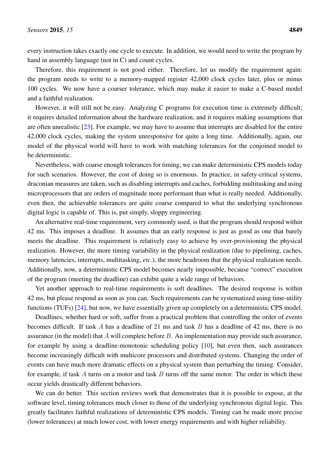every instruction takes exactly one cycle to execute. In addition, we would need to write the program by hand in assembly language (not in C) and count cycles.

Therefore, this requirement is not good either. Therefore, let us modify the requirement again: the program needs to write to a memory-mapped register 42,000 clock cycles later, plus or minus 100 cycles. We now have a coarser tolerance, which may make it easier to make a C-based model and a faithful realization.

However, it will still not be easy. Analyzing C programs for execution time is extremely difficult; it requires detailed information about the hardware realization, and it requires making assumptions that are often unrealistic  $[23]$ . For example, we may have to assume that interrupts are disabled for the entire 42,000 clock cycles, making the system unresponsive for quite a long time. Additionally, again, our model of the physical world will have to work with matching tolerances for the conjoined model to be deterministic.

Nevertheless, with coarse enough tolerances for timing, we can make deterministic CPS models today for such scenarios. However, the cost of doing so is enormous. In practice, in safety-critical systems, draconian measures are taken, such as disabling interrupts and caches, forbidding multitasking and using microprocessors that are orders of magnitude more performant than what is really needed. Additionally, even then, the achievable tolerances are quite coarse compared to what the underlying synchronous digital logic is capable of. This is, put simply, sloppy engineering.

An alternative real-time requirement, very commonly used, is that the program should respond within 42 ms. This imposes a deadline. It assumes that an early response is just as good as one that barely meets the deadline. This requirement is relatively easy to achieve by over-provisioning the physical realization. However, the more timing variability in the physical realization (due to pipelining, caches, memory latencies, interrupts, multitasking, *etc*.), the more headroom that the physical realization needs. Additionally, now, a deterministic CPS model becomes nearly impossible, because "correct" execution of the program (meeting the deadline) can exhibit quite a wide range of behaviors.

Yet another approach to real-time requirements is soft deadlines. The desired response is within 42 ms, but please respond as soon as you can. Such requirements can be systematized using time-utility functions (TUFs) [\[24\]](#page-29-10), but now, we have essentially given up completely on a deterministic CPS model.

Deadlines, whether hard or soft, suffer from a practical problem that controlling the order of events becomes difficult. If task A has a deadline of 21 ms and task B has a deadline of 42 ms, there is no assurance (in the model) that  $A$  will complete before  $B$ . An implementation may provide such assurance, for example by using a deadline-monotonic scheduling policy  $[10]$ , but even then, such assurances become increasingly difficult with multicore processors and distributed systems. Changing the order of events can have much more dramatic effects on a physical system than perturbing the timing. Consider, for example, if task A turns on a motor and task B turns off the same motor. The order in which these occur yields drastically different behaviors.

We can do better. This section reviews work that demonstrates that it is possible to expose, at the software level, timing tolerances much closer to those of the underlying synchronous digital logic. This greatly facilitates faithful realizations of deterministic CPS models. Timing can be made more precise (lower tolerances) at much lower cost, with lower energy requirements and with higher reliability.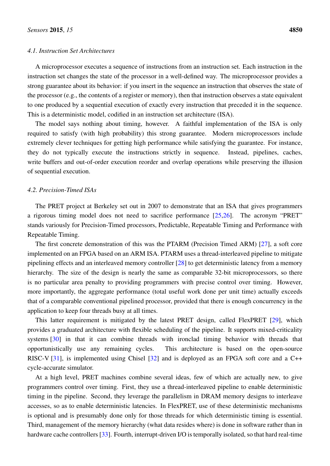A microprocessor executes a sequence of instructions from an instruction set. Each instruction in the instruction set changes the state of the processor in a well-defined way. The microprocessor provides a strong guarantee about its behavior: if you insert in the sequence an instruction that observes the state of the processor (e.g., the contents of a register or memory), then that instruction observes a state equivalent to one produced by a sequential execution of exactly every instruction that preceded it in the sequence. This is a deterministic model, codified in an instruction set architecture (ISA).

The model says nothing about timing, however. A faithful implementation of the ISA is only required to satisfy (with high probability) this strong guarantee. Modern microprocessors include extremely clever techniques for getting high performance while satisfying the guarantee. For instance, they do not typically execute the instructions strictly in sequence. Instead, pipelines, caches, write buffers and out-of-order execution reorder and overlap operations while preserving the illusion of sequential execution.

#### *4.2. Precision-Timed ISAs*

The PRET project at Berkeley set out in 2007 to demonstrate that an ISA that gives programmers a rigorous timing model does not need to sacrifice performance [\[25,](#page-29-11)[26\]](#page-29-12). The acronym "PRET" stands variously for Precision-Timed processors, Predictable, Repeatable Timing and Performance with Repeatable Timing.

The first concrete demonstration of this was the PTARM (Precision Timed ARM) [\[27\]](#page-29-13), a soft core implemented on an FPGA based on an ARM ISA. PTARM uses a thread-interleaved pipeline to mitigate pipelining effects and an interleaved memory controller [\[28\]](#page-29-14) to get deterministic latency from a memory hierarchy. The size of the design is nearly the same as comparable 32-bit microprocessors, so there is no particular area penalty to providing programmers with precise control over timing. However, more importantly, the aggregate performance (total useful work done per unit time) actually exceeds that of a comparable conventional pipelined processor, provided that there is enough concurrency in the application to keep four threads busy at all times.

This latter requirement is mitigated by the latest PRET design, called FlexPRET [\[29\]](#page-29-15), which provides a graduated architecture with flexible scheduling of the pipeline. It supports mixed-criticality systems [\[30\]](#page-30-0) in that it can combine threads with ironclad timing behavior with threads that opportunistically use any remaining cycles. This architecture is based on the open-source RISC-V [\[31\]](#page-30-1), is implemented using Chisel [\[32\]](#page-30-2) and is deployed as an FPGA soft core and a C++ cycle-accurate simulator.

At a high level, PRET machines combine several ideas, few of which are actually new, to give programmers control over timing. First, they use a thread-interleaved pipeline to enable deterministic timing in the pipeline. Second, they leverage the parallelism in DRAM memory designs to interleave accesses, so as to enable deterministic latencies. In FlexPRET, use of these deterministic mechanisms is optional and is presumably done only for those threads for which deterministic timing is essential. Third, management of the memory hierarchy (what data resides where) is done in software rather than in hardware cache controllers [\[33\]](#page-30-3). Fourth, interrupt-driven I/O is temporally isolated, so that hard real-time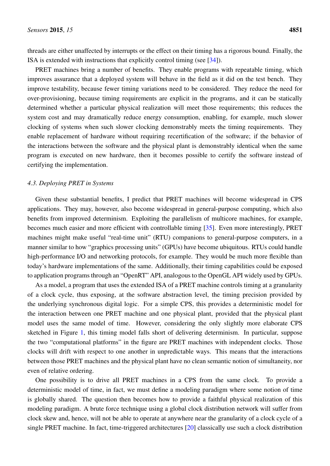threads are either unaffected by interrupts or the effect on their timing has a rigorous bound. Finally, the ISA is extended with instructions that explicitly control timing (see [\[34\]](#page-30-4)).

PRET machines bring a number of benefits. They enable programs with repeatable timing, which improves assurance that a deployed system will behave in the field as it did on the test bench. They improve testability, because fewer timing variations need to be considered. They reduce the need for over-provisioning, because timing requirements are explicit in the programs, and it can be statically determined whether a particular physical realization will meet those requirements; this reduces the system cost and may dramatically reduce energy consumption, enabling, for example, much slower clocking of systems when such slower clocking demonstrably meets the timing requirements. They enable replacement of hardware without requiring recertification of the software; if the behavior of the interactions between the software and the physical plant is demonstrably identical when the same program is executed on new hardware, then it becomes possible to certify the software instead of certifying the implementation.

#### *4.3. Deploying PRET in Systems*

Given these substantial benefits, I predict that PRET machines will become widespread in CPS applications. They may, however, also become widespread in general-purpose computing, which also benefits from improved determinism. Exploiting the parallelism of multicore machines, for example, becomes much easier and more efficient with controllable timing [\[35\]](#page-30-5). Even more interestingly, PRET machines might make useful "real-time unit" (RTU) companions to general-purpose computers, in a manner similar to how "graphics processing units" (GPUs) have become ubiquitous. RTUs could handle high-performance I/O and networking protocols, for example. They would be much more flexible than today's hardware implementations of the same. Additionally, their timing capabilities could be exposed to application programs through an "OpenRT" API, analogous to the OpenGL API widely used by GPUs.

As a model, a program that uses the extended ISA of a PRET machine controls timing at a granularity of a clock cycle, thus exposing, at the software abstraction level, the timing precision provided by the underlying synchronous digital logic. For a simple CPS, this provides a deterministic model for the interaction between one PRET machine and one physical plant, provided that the physical plant model uses the same model of time. However, considering the only slightly more elaborate CPS sketched in Figure [1,](#page-8-0) this timing model falls short of delivering determinism. In particular, suppose the two "computational platforms" in the figure are PRET machines with independent clocks. Those clocks will drift with respect to one another in unpredictable ways. This means that the interactions between those PRET machines and the physical plant have no clean semantic notion of simultaneity, nor even of relative ordering.

One possibility is to drive all PRET machines in a CPS from the same clock. To provide a deterministic model of time, in fact, we must define a modeling paradigm where some notion of time is globally shared. The question then becomes how to provide a faithful physical realization of this modeling paradigm. A brute force technique using a global clock distribution network will suffer from clock skew and, hence, will not be able to operate at anywhere near the granularity of a clock cycle of a single PRET machine. In fact, time-triggered architectures [\[20\]](#page-29-6) classically use such a clock distribution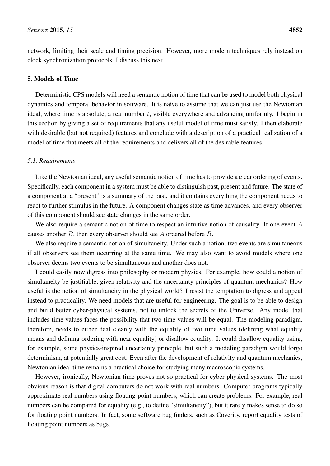network, limiting their scale and timing precision. However, more modern techniques rely instead on clock synchronization protocols. I discuss this next.

# <span id="page-15-0"></span>5. Models of Time

Deterministic CPS models will need a semantic notion of time that can be used to model both physical dynamics and temporal behavior in software. It is naive to assume that we can just use the Newtonian ideal, where time is absolute, a real number  $t$ , visible everywhere and advancing uniformly. I begin in this section by giving a set of requirements that any useful model of time must satisfy. I then elaborate with desirable (but not required) features and conclude with a description of a practical realization of a model of time that meets all of the requirements and delivers all of the desirable features.

# <span id="page-15-1"></span>*5.1. Requirements*

Like the Newtonian ideal, any useful semantic notion of time has to provide a clear ordering of events. Specifically, each component in a system must be able to distinguish past, present and future. The state of a component at a "present" is a summary of the past, and it contains everything the component needs to react to further stimulus in the future. A component changes state as time advances, and every observer of this component should see state changes in the same order.

We also require a semantic notion of time to respect an intuitive notion of causality. If one event A causes another B, then every observer should see A ordered before B.

We also require a semantic notion of simultaneity. Under such a notion, two events are simultaneous if all observers see them occurring at the same time. We may also want to avoid models where one observer deems two events to be simultaneous and another does not.

I could easily now digress into philosophy or modern physics. For example, how could a notion of simultaneity be justifiable, given relativity and the uncertainty principles of quantum mechanics? How useful is the notion of simultaneity in the physical world? I resist the temptation to digress and appeal instead to practicality. We need models that are useful for engineering. The goal is to be able to design and build better cyber-physical systems, not to unlock the secrets of the Universe. Any model that includes time values faces the possibility that two time values will be equal. The modeling paradigm, therefore, needs to either deal cleanly with the equality of two time values (defining what equality means and defining ordering with near equality) or disallow equality. It could disallow equality using, for example, some physics-inspired uncertainty principle, but such a modeling paradigm would forgo determinism, at potentially great cost. Even after the development of relativity and quantum mechanics, Newtonian ideal time remains a practical choice for studying many macroscopic systems.

However, ironically, Newtonian time proves not so practical for cyber-physical systems. The most obvious reason is that digital computers do not work with real numbers. Computer programs typically approximate real numbers using floating-point numbers, which can create problems. For example, real numbers can be compared for equality (e.g., to define "simultaneity"), but it rarely makes sense to do so for floating point numbers. In fact, some software bug finders, such as Coverity, report equality tests of floating point numbers as bugs.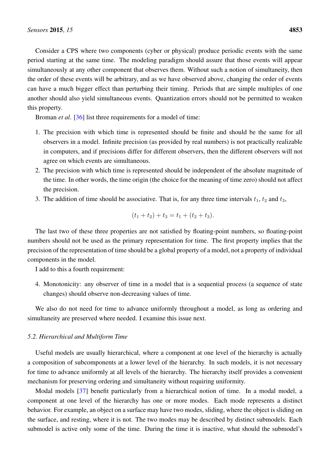Consider a CPS where two components (cyber or physical) produce periodic events with the same period starting at the same time. The modeling paradigm should assure that those events will appear simultaneously at any other component that observes them. Without such a notion of simultaneity, then the order of these events will be arbitrary, and as we have observed above, changing the order of events can have a much bigger effect than perturbing their timing. Periods that are simple multiples of one another should also yield simultaneous events. Quantization errors should not be permitted to weaken this property.

Broman *et al*. [\[36\]](#page-30-6) list three requirements for a model of time:

- 1. The precision with which time is represented should be finite and should be the same for all observers in a model. Infinite precision (as provided by real numbers) is not practically realizable in computers, and if precisions differ for different observers, then the different observers will not agree on which events are simultaneous.
- 2. The precision with which time is represented should be independent of the absolute magnitude of the time. In other words, the time origin (the choice for the meaning of time zero) should not affect the precision.
- 3. The addition of time should be associative. That is, for any three time intervals  $t_1$ ,  $t_2$  and  $t_3$ ,

$$
(t_1 + t_2) + t_3 = t_1 + (t_2 + t_3).
$$

The last two of these three properties are not satisfied by floating-point numbers, so floating-point numbers should not be used as the primary representation for time. The first property implies that the precision of the representation of time should be a global property of a model, not a property of individual components in the model.

I add to this a fourth requirement:

4. Monotonicity: any observer of time in a model that is a sequential process (a sequence of state changes) should observe non-decreasing values of time.

We also do not need for time to advance uniformly throughout a model, as long as ordering and simultaneity are preserved where needed. I examine this issue next.

## *5.2. Hierarchical and Multiform Time*

Useful models are usually hierarchical, where a component at one level of the hierarchy is actually a composition of subcomponents at a lower level of the hierarchy. In such models, it is not necessary for time to advance uniformly at all levels of the hierarchy. The hierarchy itself provides a convenient mechanism for preserving ordering and simultaneity without requiring uniformity.

Modal models [\[37\]](#page-30-7) benefit particularly from a hierarchical notion of time. In a modal model, a component at one level of the hierarchy has one or more modes. Each mode represents a distinct behavior. For example, an object on a surface may have two modes, sliding, where the object is sliding on the surface, and resting, where it is not. The two modes may be described by distinct submodels. Each submodel is active only some of the time. During the time it is inactive, what should the submodel's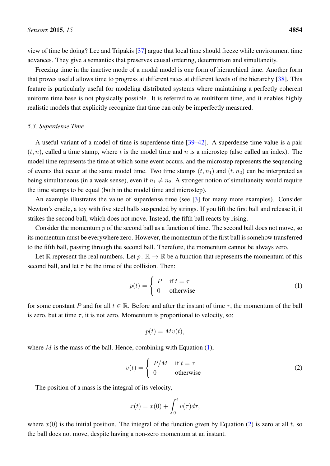view of time be doing? Lee and Tripakis [\[37\]](#page-30-7) argue that local time should freeze while environment time advances. They give a semantics that preserves causal ordering, determinism and simultaneity.

Freezing time in the inactive mode of a modal model is one form of hierarchical time. Another form that proves useful allows time to progress at different rates at different levels of the hierarchy [\[38\]](#page-30-8). This feature is particularly useful for modeling distributed systems where maintaining a perfectly coherent uniform time base is not physically possible. It is referred to as multiform time, and it enables highly realistic models that explicitly recognize that time can only be imperfectly measured.

## *5.3. Superdense Time*

A useful variant of a model of time is superdense time [\[39](#page-30-9)[–42\]](#page-30-10). A superdense time value is a pair  $(t, n)$ , called a time stamp, where t is the model time and n is a microstep (also called an index). The model time represents the time at which some event occurs, and the microstep represents the sequencing of events that occur at the same model time. Two time stamps  $(t, n_1)$  and  $(t, n_2)$  can be interpreted as being simultaneous (in a weak sense), even if  $n_1 \neq n_2$ . A stronger notion of simultaneity would require the time stamps to be equal (both in the model time and microstep).

An example illustrates the value of superdense time (see [\[3\]](#page-28-2) for many more examples). Consider Newton's cradle, a toy with five steel balls suspended by strings. If you lift the first ball and release it, it strikes the second ball, which does not move. Instead, the fifth ball reacts by rising.

Consider the momentum  $p$  of the second ball as a function of time. The second ball does not move, so its momentum must be everywhere zero. However, the momentum of the first ball is somehow transferred to the fifth ball, passing through the second ball. Therefore, the momentum cannot be always zero.

Let R represent the real numbers. Let  $p: \mathbb{R} \to \mathbb{R}$  be a function that represents the momentum of this second ball, and let  $\tau$  be the time of the collision. Then:

<span id="page-17-0"></span>
$$
p(t) = \begin{cases} P & \text{if } t = \tau \\ 0 & \text{otherwise} \end{cases}
$$
 (1)

for some constant P and for all  $t \in \mathbb{R}$ . Before and after the instant of time  $\tau$ , the momentum of the ball is zero, but at time  $\tau$ , it is not zero. Momentum is proportional to velocity, so:

$$
p(t) = Mv(t),
$$

where  $M$  is the mass of the ball. Hence, combining with Equation  $(1)$ ,

<span id="page-17-1"></span>
$$
v(t) = \begin{cases} P/M & \text{if } t = \tau \\ 0 & \text{otherwise} \end{cases}
$$
 (2)

The position of a mass is the integral of its velocity,

$$
x(t) = x(0) + \int_0^t v(\tau) d\tau,
$$

where  $x(0)$  is the initial position. The integral of the function given by Equation [\(2\)](#page-17-1) is zero at all t, so the ball does not move, despite having a non-zero momentum at an instant.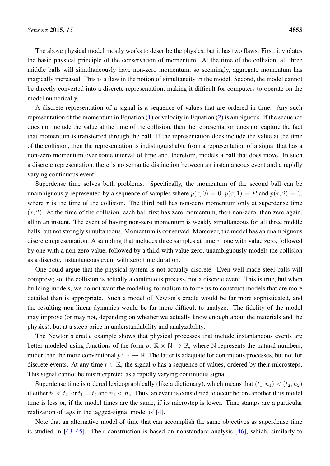The above physical model mostly works to describe the physics, but it has two flaws. First, it violates the basic physical principle of the conservation of momentum. At the time of the collision, all three middle balls will simultaneously have non-zero momentum, so seemingly, aggregate momentum has magically increased. This is a flaw in the notion of simultaneity in the model. Second, the model cannot be directly converted into a discrete representation, making it difficult for computers to operate on the model numerically.

A discrete representation of a signal is a sequence of values that are ordered in time. Any such representation of the momentum in Equation  $(1)$  or velocity in Equation  $(2)$  is ambiguous. If the sequence does not include the value at the time of the collision, then the representation does not capture the fact that momentum is transferred through the ball. If the representation does include the value at the time of the collision, then the representation is indistinguishable from a representation of a signal that has a non-zero momentum over some interval of time and, therefore, models a ball that does move. In such a discrete representation, there is no semantic distinction between an instantaneous event and a rapidly varying continuous event.

Superdense time solves both problems. Specifically, the momentum of the second ball can be unambiguously represented by a sequence of samples where  $p(\tau, 0) = 0$ ,  $p(\tau, 1) = P$  and  $p(\tau, 2) = 0$ , where  $\tau$  is the time of the collision. The third ball has non-zero momentum only at superdense time  $(\tau, 2)$ . At the time of the collision, each ball first has zero momentum, then non-zero, then zero again, all in an instant. The event of having non-zero momentum is weakly simultaneous for all three middle balls, but not strongly simultaneous. Momentum is conserved. Moreover, the model has an unambiguous discrete representation. A sampling that includes three samples at time  $\tau$ , one with value zero, followed by one with a non-zero value, followed by a third with value zero, unambiguously models the collision as a discrete, instantaneous event with zero time duration.

One could argue that the physical system is not actually discrete. Even well-made steel balls will compress; so, the collision is actually a continuous process, not a discrete event. This is true, but when building models, we do not want the modeling formalism to force us to construct models that are more detailed than is appropriate. Such a model of Newton's cradle would be far more sophisticated, and the resulting non-linear dynamics would be far more difficult to analyze. The fidelity of the model may improve (or may not, depending on whether we actually know enough about the materials and the physics), but at a steep price in understandability and analyzability.

The Newton's cradle example shows that physical processes that include instantaneous events are better modeled using functions of the form  $p: \mathbb{R} \times \mathbb{N} \to \mathbb{R}$ , where N represents the natural numbers, rather than the more conventional  $p: \mathbb{R} \to \mathbb{R}$ . The latter is adequate for continuous processes, but not for discrete events. At any time  $t \in \mathbb{R}$ , the signal p has a sequence of values, ordered by their microsteps. This signal cannot be misinterpreted as a rapidly varying continuous signal.

Superdense time is ordered lexicographically (like a dictionary), which means that  $(t_1, n_1) < (t_2, n_2)$ if either  $t_1 < t_2$ , or  $t_1 = t_2$  and  $n_1 < n_2$ . Thus, an event is considered to occur before another if its model time is less or, if the model times are the same, if its microstep is lower. Time stamps are a particular realization of tags in the tagged-signal model of [\[4\]](#page-28-3).

Note that an alternative model of time that can accomplish the same objectives as superdense time is studied in [\[43–](#page-30-11)[45\]](#page-31-0). Their construction is based on nonstandard analysis [\[46\]](#page-31-1), which, similarly to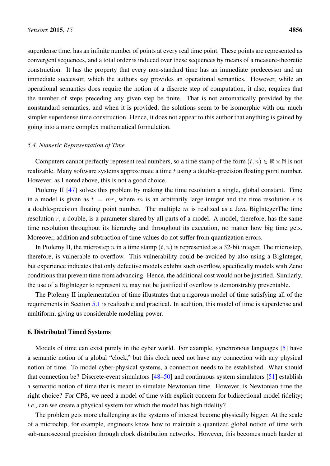superdense time, has an infinite number of points at every real time point. These points are represented as convergent sequences, and a total order is induced over these sequences by means of a measure-theoretic construction. It has the property that every non-standard time has an immediate predecessor and an immediate successor, which the authors say provides an operational semantics. However, while an operational semantics does require the notion of a discrete step of computation, it also, requires that the number of steps preceding any given step be finite. That is not automatically provided by the nonstandard semantics, and when it is provided, the solutions seem to be isomorphic with our much simpler superdense time construction. Hence, it does not appear to this author that anything is gained by going into a more complex mathematical formulation.

## *5.4. Numeric Representation of Time*

Computers cannot perfectly represent real numbers, so a time stamp of the form  $(t, n) \in \mathbb{R} \times \mathbb{N}$  is not realizable. Many software systems approximate a time t using a double-precision floating point number. However, as I noted above, this is not a good choice.

Ptolemy II [\[47\]](#page-31-2) solves this problem by making the time resolution a single, global constant. Time in a model is given as  $t = mr$ , where m is an arbitrarily large integer and the time resolution r is a double-precision floating point number. The multiple  $m$  is realized as a Java BigIntegerThe time resolution  $r$ , a double, is a parameter shared by all parts of a model. A model, therefore, has the same time resolution throughout its hierarchy and throughout its execution, no matter how big time gets. Moreover, addition and subtraction of time values do not suffer from quantization errors.

In Ptolemy II, the microstep n in a time stamp  $(t, n)$  is represented as a 32-bit integer. The microstep, therefore, is vulnerable to overflow. This vulnerability could be avoided by also using a BigInteger, but experience indicates that only defective models exhibit such overflow, specifically models with Zeno conditions that prevent time from advancing. Hence, the additional cost would not be justified. Similarly, the use of a BigInteger to represent  $m$  may not be justified if overflow is demonstrably preventable.

The Ptolemy II implementation of time illustrates that a rigorous model of time satisfying all of the requirements in Section [5.1](#page-15-1) is realizable and practical. In addition, this model of time is superdense and multiform, giving us considerable modeling power.

#### <span id="page-19-0"></span>6. Distributed Timed Systems

Models of time can exist purely in the cyber world. For example, synchronous languages [\[5\]](#page-28-4) have a semantic notion of a global "clock," but this clock need not have any connection with any physical notion of time. To model cyber-physical systems, a connection needs to be established. What should that connection be? Discrete-event simulators [\[48](#page-31-3)[–50\]](#page-31-4) and continuous system simulators [\[51\]](#page-31-5) establish a semantic notion of time that is meant to simulate Newtonian time. However, is Newtonian time the right choice? For CPS, we need a model of time with explicit concern for bidirectional model fidelity; *i.e.*, can we create a physical system for which the model has high fidelity?

The problem gets more challenging as the systems of interest become physically bigger. At the scale of a microchip, for example, engineers know how to maintain a quantized global notion of time with sub-nanosecond precision through clock distribution networks. However, this becomes much harder at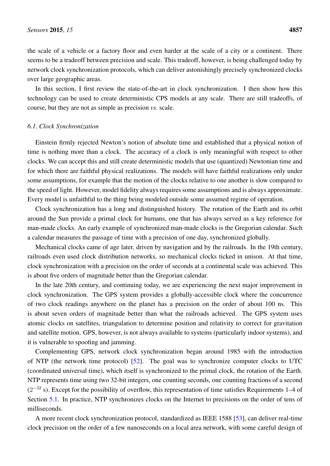the scale of a vehicle or a factory floor and even harder at the scale of a city or a continent. There seems to be a tradeoff between precision and scale. This tradeoff, however, is being challenged today by network clock synchronization protocols, which can deliver astonishingly precisely synchronized clocks over large geographic areas.

In this section, I first review the state-of-the-art in clock synchronization. I then show how this technology can be used to create deterministic CPS models at any scale. There are still tradeoffs, of course, but they are not as simple as precision *vs*. scale.

## *6.1. Clock Synchronization*

Einstein firmly rejected Newton's notion of absolute time and established that a physical notion of time is nothing more than a clock. The accuracy of a clock is only meaningful with respect to other clocks. We can accept this and still create deterministic models that use (quantized) Newtonian time and for which there are faithful physical realizations. The models will have faithful realizations only under some assumptions, for example that the motion of the clocks relative to one another is slow compared to the speed of light. However, model fidelity always requires some assumptions and is always approximate. Every model is unfaithful to the thing being modeled outside some assumed regime of operation.

Clock synchronization has a long and distinguished history. The rotation of the Earth and its orbit around the Sun provide a primal clock for humans, one that has always served as a key reference for man-made clocks. An early example of synchronized man-made clocks is the Gregorian calendar. Such a calendar measures the passage of time with a precision of one day, synchronized globally.

Mechanical clocks came of age later, driven by navigation and by the railroads. In the 19th century, railroads even used clock distribution networks, so mechanical clocks ticked in unison. At that time, clock synchronization with a precision on the order of seconds at a continental scale was achieved. This is about five orders of magnitude better than the Gregorian calendar.

In the late 20th century, and continuing today, we are experiencing the next major improvement in clock synchronization. The GPS system provides a globally-accessible clock where the concurrence of two clock readings anywhere on the planet has a precision on the order of about 100 ns. This is about seven orders of magnitude better than what the railroads achieved. The GPS system uses atomic clocks on satellites, triangulation to determine position and relativity to correct for gravitation and satellite motion. GPS, however, is not always available to systems (particularly indoor systems), and it is vulnerable to spoofing and jamming.

Complementing GPS, network clock synchronization began around 1985 with the introduction of NTP (the network time protocol) [\[52\]](#page-31-6). The goal was to synchronize computer clocks to UTC (coordinated universal time), which itself is synchronized to the primal clock, the rotation of the Earth. NTP represents time using two 32-bit integers, one counting seconds, one counting fractions of a second  $(2^{-32} s)$ . Except for the possibility of overflow, this representation of time satisfies Requirements 1–4 of Section [5.1.](#page-15-1) In practice, NTP synchronizes clocks on the Internet to precisions on the order of tens of milliseconds.

A more recent clock synchronization protocol, standardized as IEEE 1588 [\[53\]](#page-31-7), can deliver real-time clock precision on the order of a few nanoseconds on a local area network, with some careful design of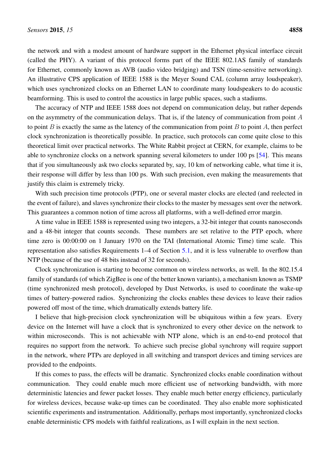the network and with a modest amount of hardware support in the Ethernet physical interface circuit (called the PHY). A variant of this protocol forms part of the IEEE 802.1AS family of standards for Ethernet, commonly known as AVB (audio video bridging) and TSN (time-sensitive networking). An illustrative CPS application of IEEE 1588 is the Meyer Sound CAL (column array loudspeaker), which uses synchronized clocks on an Ethernet LAN to coordinate many loudspeakers to do acoustic beamforming. This is used to control the acoustics in large public spaces, such a stadiums.

The accuracy of NTP and IEEE 1588 does not depend on communication delay, but rather depends on the asymmetry of the communication delays. That is, if the latency of communication from point A to point  $B$  is exactly the same as the latency of the communication from point  $B$  to point  $A$ , then perfect clock synchronization is theoretically possible. In practice, such protocols can come quite close to this theoretical limit over practical networks. The White Rabbit project at CERN, for example, claims to be able to synchronize clocks on a network spanning several kilometers to under 100 ps [\[54\]](#page-31-8). This means that if you simultaneously ask two clocks separated by, say, 10 km of networking cable, what time it is, their response will differ by less than 100 ps. With such precision, even making the measurements that justify this claim is extremely tricky.

With such precision time protocols (PTP), one or several master clocks are elected (and reelected in the event of failure), and slaves synchronize their clocks to the master by messages sent over the network. This guarantees a common notion of time across all platforms, with a well-defined error margin.

A time value in IEEE 1588 is represented using two integers, a 32-bit integer that counts nanoseconds and a 48-bit integer that counts seconds. These numbers are set relative to the PTP epoch, where time zero is 00:00:00 on 1 January 1970 on the TAI (International Atomic Time) time scale. This representation also satisfies Requirements 1–4 of Section [5.1,](#page-15-1) and it is less vulnerable to overflow than NTP (because of the use of 48 bits instead of 32 for seconds).

Clock synchronization is starting to become common on wireless networks, as well. In the 802.15.4 family of standards (of which ZigBee is one of the better known variants), a mechanism known as TSMP (time synchronized mesh protocol), developed by Dust Networks, is used to coordinate the wake-up times of battery-powered radios. Synchronizing the clocks enables these devices to leave their radios powered off most of the time, which dramatically extends battery life.

I believe that high-precision clock synchronization will be ubiquitous within a few years. Every device on the Internet will have a clock that is synchronized to every other device on the network to within microseconds. This is not achievable with NTP alone, which is an end-to-end protocol that requires no support from the network. To achieve such precise global synchrony will require support in the network, where PTPs are deployed in all switching and transport devices and timing services are provided to the endpoints.

If this comes to pass, the effects will be dramatic. Synchronized clocks enable coordination without communication. They could enable much more efficient use of networking bandwidth, with more deterministic latencies and fewer packet losses. They enable much better energy efficiency, particularly for wireless devices, because wake-up times can be coordinated. They also enable more sophisticated scientific experiments and instrumentation. Additionally, perhaps most importantly, synchronized clocks enable deterministic CPS models with faithful realizations, as I will explain in the next section.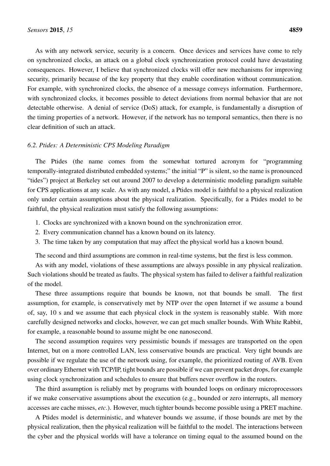As with any network service, security is a concern. Once devices and services have come to rely on synchronized clocks, an attack on a global clock synchronization protocol could have devastating consequences. However, I believe that synchronized clocks will offer new mechanisms for improving security, primarily because of the key property that they enable coordination without communication. For example, with synchronized clocks, the absence of a message conveys information. Furthermore, with synchronized clocks, it becomes possible to detect deviations from normal behavior that are not detectable otherwise. A denial of service (DoS) attack, for example, is fundamentally a disruption of the timing properties of a network. However, if the network has no temporal semantics, then there is no clear definition of such an attack.

# *6.2. Ptides: A Deterministic CPS Modeling Paradigm*

The Ptides (the name comes from the somewhat tortured acronym for "programming temporally-integrated distributed embedded systems;" the initial "P" is silent, so the name is pronounced "tides") project at Berkeley set out around 2007 to develop a deterministic modeling paradigm suitable for CPS applications at any scale. As with any model, a Ptides model is faithful to a physical realization only under certain assumptions about the physical realization. Specifically, for a Ptides model to be faithful, the physical realization must satisfy the following assumptions:

- 1. Clocks are synchronized with a known bound on the synchronization error.
- 2. Every communication channel has a known bound on its latency.
- 3. The time taken by any computation that may affect the physical world has a known bound.

The second and third assumptions are common in real-time systems, but the first is less common.

As with any model, violations of these assumptions are always possible in any physical realization. Such violations should be treated as faults. The physical system has failed to deliver a faithful realization of the model.

These three assumptions require that bounds be known, not that bounds be small. The first assumption, for example, is conservatively met by NTP over the open Internet if we assume a bound of, say, 10 s and we assume that each physical clock in the system is reasonably stable. With more carefully designed networks and clocks, however, we can get much smaller bounds. With White Rabbit, for example, a reasonable bound to assume might be one nanosecond.

The second assumption requires very pessimistic bounds if messages are transported on the open Internet, but on a more controlled LAN, less conservative bounds are practical. Very tight bounds are possible if we regulate the use of the network using, for example, the prioritized routing of AVB. Even over ordinary Ethernet with TCP/IP, tight bounds are possible if we can prevent packet drops, for example using clock synchronization and schedules to ensure that buffers never overflow in the routers.

The third assumption is reliably met by programs with bounded loops on ordinary microprocessors if we make conservative assumptions about the execution (e.g., bounded or zero interrupts, all memory accesses are cache misses, *etc*.). However, much tighter bounds become possible using a PRET machine.

A Ptides model is deterministic, and whatever bounds we assume, if those bounds are met by the physical realization, then the physical realization will be faithful to the model. The interactions between the cyber and the physical worlds will have a tolerance on timing equal to the assumed bound on the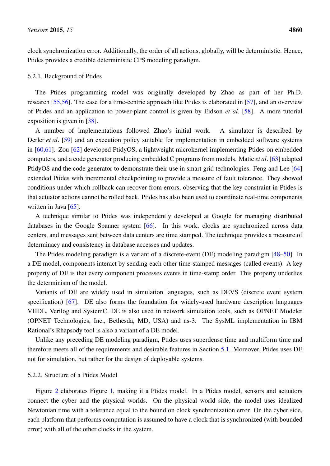clock synchronization error. Additionally, the order of all actions, globally, will be deterministic. Hence, Ptides provides a credible deterministic CPS modeling paradigm.

#### 6.2.1. Background of Ptides

The Ptides programming model was originally developed by Zhao as part of her Ph.D. research [\[55](#page-31-9)[,56\]](#page-31-10). The case for a time-centric approach like Ptides is elaborated in [\[57\]](#page-31-11), and an overview of Ptides and an application to power-plant control is given by Eidson *et al*. [\[58\]](#page-31-12). A more tutorial exposition is given in [\[38\]](#page-30-8).

A number of implementations followed Zhao's initial work. A simulator is described by Derler *et al*. [\[59\]](#page-31-13) and an execution policy suitable for implementation in embedded software systems in [\[60](#page-31-14)[,61\]](#page-31-15). Zou [\[62\]](#page-32-0) developed PtidyOS, a lightweight microkernel implementing Ptides on embedded computers, and a code generator producing embedded C programs from models. Matic *et al*. [\[63\]](#page-32-1) adapted PtidyOS and the code generator to demonstrate their use in smart grid technologies. Feng and Lee [\[64\]](#page-32-2) extended Ptides with incremental checkpointing to provide a measure of fault tolerance. They showed conditions under which rollback can recover from errors, observing that the key constraint in Ptides is that actuator actions cannot be rolled back. Ptides has also been used to coordinate real-time components written in Java [\[65\]](#page-32-3).

A technique similar to Ptides was independently developed at Google for managing distributed databases in the Google Spanner system [\[66\]](#page-32-4). In this work, clocks are synchronized across data centers, and messages sent between data centers are time stamped. The technique provides a measure of determinacy and consistency in database accesses and updates.

The Ptides modeling paradigm is a variant of a discrete-event (DE) modeling paradigm [\[48–](#page-31-3)[50\]](#page-31-4). In a DE model, components interact by sending each other time-stamped messages (called events). A key property of DE is that every component processes events in time-stamp order. This property underlies the determinism of the model.

Variants of DE are widely used in simulation languages, such as DEVS (discrete event system specification) [\[67\]](#page-32-5). DE also forms the foundation for widely-used hardware description languages VHDL, Verilog and SystemC. DE is also used in network simulation tools, such as OPNET Modeler (OPNET Technologies, Inc., Bethesda, MD, USA) and ns-3. The SysML implementation in IBM Rational's Rhapsody tool is also a variant of a DE model.

Unlike any preceding DE modeling paradigm, Ptides uses superdense time and multiform time and therefore meets all of the requirements and desirable features in Section [5.1.](#page-15-1) Moreover, Ptides uses DE not for simulation, but rather for the design of deployable systems.

# 6.2.2. Structure of a Ptides Model

Figure [2](#page-24-0) elaborates Figure [1,](#page-8-0) making it a Ptides model. In a Ptides model, sensors and actuators connect the cyber and the physical worlds. On the physical world side, the model uses idealized Newtonian time with a tolerance equal to the bound on clock synchronization error. On the cyber side, each platform that performs computation is assumed to have a clock that is synchronized (with bounded error) with all of the other clocks in the system.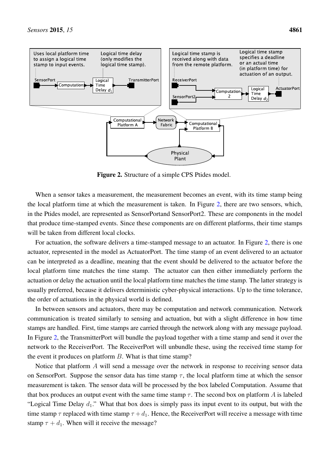<span id="page-24-0"></span>

Figure 2. Structure of a simple CPS Ptides model.

When a sensor takes a measurement, the measurement becomes an event, with its time stamp being the local platform time at which the measurement is taken. In Figure [2,](#page-24-0) there are two sensors, which, in the Ptides model, are represented as SensorPortand SensorPort2. These are components in the model that produce time-stamped events. Since these components are on different platforms, their time stamps will be taken from different local clocks.

For actuation, the software delivers a time-stamped message to an actuator. In Figure [2,](#page-24-0) there is one actuator, represented in the model as ActuatorPort. The time stamp of an event delivered to an actuator can be interpreted as a deadline, meaning that the event should be delivered to the actuator before the local platform time matches the time stamp. The actuator can then either immediately perform the actuation or delay the actuation until the local platform time matches the time stamp. The latter strategy is usually preferred, because it delivers deterministic cyber-physical interactions. Up to the time tolerance, the order of actuations in the physical world is defined.

In between sensors and actuators, there may be computation and network communication. Network communication is treated similarly to sensing and actuation, but with a slight difference in how time stamps are handled. First, time stamps are carried through the network along with any message payload. In Figure [2,](#page-24-0) the TransmitterPort will bundle the payload together with a time stamp and send it over the network to the ReceiverPort. The ReceiverPort will unbundle these, using the received time stamp for the event it produces on platform  $B$ . What is that time stamp?

Notice that platform A will send a message over the network in response to receiving sensor data on SensorPort. Suppose the sensor data has time stamp  $\tau$ , the local platform time at which the sensor measurement is taken. The sensor data will be processed by the box labeled Computation. Assume that that box produces an output event with the same time stamp  $\tau$ . The second box on platform A is labeled "Logical Time Delay  $d_1$ ." What that box does is simply pass its input event to its output, but with the time stamp  $\tau$  replaced with time stamp  $\tau + d_1$ . Hence, the ReceiverPort will receive a message with time stamp  $\tau + d_1$ . When will it receive the message?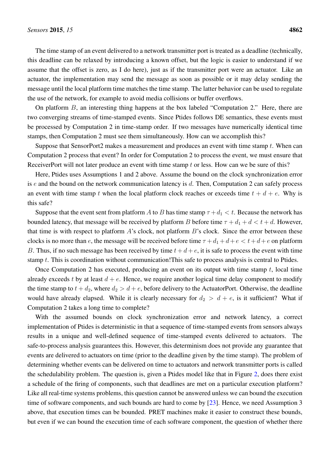The time stamp of an event delivered to a network transmitter port is treated as a deadline (technically, this deadline can be relaxed by introducing a known offset, but the logic is easier to understand if we assume that the offset is zero, as I do here), just as if the transmitter port were an actuator. Like an actuator, the implementation may send the message as soon as possible or it may delay sending the message until the local platform time matches the time stamp. The latter behavior can be used to regulate the use of the network, for example to avoid media collisions or buffer overflows.

On platform B, an interesting thing happens at the box labeled "Computation 2." Here, there are two converging streams of time-stamped events. Since Ptides follows DE semantics, these events must be processed by Computation 2 in time-stamp order. If two messages have numerically identical time stamps, then Computation 2 must see them simultaneously. How can we accomplish this?

Suppose that SensorPort2 makes a measurement and produces an event with time stamp  $t$ . When can Computation 2 process that event? In order for Computation 2 to process the event, we must ensure that ReceiverPort will not later produce an event with time stamp t or less. How can we be sure of this?

Here, Ptides uses Assumptions 1 and 2 above. Assume the bound on the clock synchronization error is  $e$  and the bound on the network communication latency is  $d$ . Then, Computation 2 can safely process an event with time stamp t when the local platform clock reaches or exceeds time  $t + d + e$ . Why is this safe?

Suppose that the event sent from platform A to B has time stamp  $\tau + d_1 < t$ . Because the network has bounded latency, that message will be received by platform B before time  $\tau + d_1 + d < t + d$ . However, that time is with respect to platform  $A$ 's clock, not platform  $B$ 's clock. Since the error between these clocks is no more than e, the message will be received before time  $\tau + d_1 + d + e < t + d + e$  on platform B. Thus, if no such message has been received by time  $t + d + e$ , it is safe to process the event with time stamp t. This is coordination without communication! This safe to process analysis is central to Ptides.

Once Computation 2 has executed, producing an event on its output with time stamp  $t$ , local time already exceeds t by at least  $d + e$ . Hence, we require another logical time delay component to modify the time stamp to  $t + d_2$ , where  $d_2 > d + e$ , before delivery to the ActuatorPort. Otherwise, the deadline would have already elapsed. While it is clearly necessary for  $d_2 > d + e$ , is it sufficient? What if Computation 2 takes a long time to complete?

With the assumed bounds on clock synchronization error and network latency, a correct implementation of Ptides is deterministic in that a sequence of time-stamped events from sensors always results in a unique and well-defined sequence of time-stamped events delivered to actuators. The safe-to-process analysis guarantees this. However, this determinism does not provide any guarantee that events are delivered to actuators on time (prior to the deadline given by the time stamp). The problem of determining whether events can be delivered on time to actuators and network transmitter ports is called the schedulability problem. The question is, given a Ptides model like that in Figure [2,](#page-24-0) does there exist a schedule of the firing of components, such that deadlines are met on a particular execution platform? Like all real-time systems problems, this question cannot be answered unless we can bound the execution time of software components, and such bounds are hard to come by [\[23\]](#page-29-9). Hence, we need Assumption 3 above, that execution times can be bounded. PRET machines make it easier to construct these bounds, but even if we can bound the execution time of each software component, the question of whether there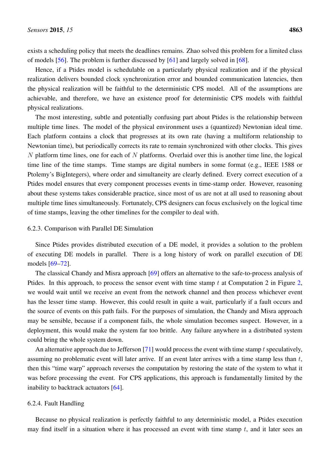exists a scheduling policy that meets the deadlines remains. Zhao solved this problem for a limited class of models [\[56\]](#page-31-10). The problem is further discussed by [\[61\]](#page-31-15) and largely solved in [\[68\]](#page-32-6).

Hence, if a Ptides model is schedulable on a particularly physical realization and if the physical realization delivers bounded clock synchronization error and bounded communication latencies, then the physical realization will be faithful to the deterministic CPS model. All of the assumptions are achievable, and therefore, we have an existence proof for deterministic CPS models with faithful physical realizations.

The most interesting, subtle and potentially confusing part about Ptides is the relationship between multiple time lines. The model of the physical environment uses a (quantized) Newtonian ideal time. Each platform contains a clock that progresses at its own rate (having a multiform relationship to Newtonian time), but periodically corrects its rate to remain synchronized with other clocks. This gives  $N$  platform time lines, one for each of  $N$  platforms. Overlaid over this is another time line, the logical time line of the time stamps. Time stamps are digital numbers in some format (e.g., IEEE 1588 or Ptolemy's BigIntegers), where order and simultaneity are clearly defined. Every correct execution of a Ptides model ensures that every component processes events in time-stamp order. However, reasoning about these systems takes considerable practice, since most of us are not at all used to reasoning about multiple time lines simultaneously. Fortunately, CPS designers can focus exclusively on the logical time of time stamps, leaving the other timelines for the compiler to deal with.

#### 6.2.3. Comparison with Parallel DE Simulation

Since Ptides provides distributed execution of a DE model, it provides a solution to the problem of executing DE models in parallel. There is a long history of work on parallel execution of DE models [\[69](#page-32-7)[–72\]](#page-32-8).

The classical Chandy and Misra approach [\[69\]](#page-32-7) offers an alternative to the safe-to-process analysis of Ptides. In this approach, to process the sensor event with time stamp  $t$  at Computation 2 in Figure [2,](#page-24-0) we would wait until we receive an event from the network channel and then process whichever event has the lesser time stamp. However, this could result in quite a wait, particularly if a fault occurs and the source of events on this path fails. For the purposes of simulation, the Chandy and Misra approach may be sensible, because if a component fails, the whole simulation becomes suspect. However, in a deployment, this would make the system far too brittle. Any failure anywhere in a distributed system could bring the whole system down.

An alternative approach due to Jefferson [\[71\]](#page-32-9) would process the event with time stamp  $t$  speculatively, assuming no problematic event will later arrive. If an event later arrives with a time stamp less than  $t$ , then this "time warp" approach reverses the computation by restoring the state of the system to what it was before processing the event. For CPS applications, this approach is fundamentally limited by the inability to backtrack actuators [\[64\]](#page-32-2).

#### 6.2.4. Fault Handling

Because no physical realization is perfectly faithful to any deterministic model, a Ptides execution may find itself in a situation where it has processed an event with time stamp  $t$ , and it later sees an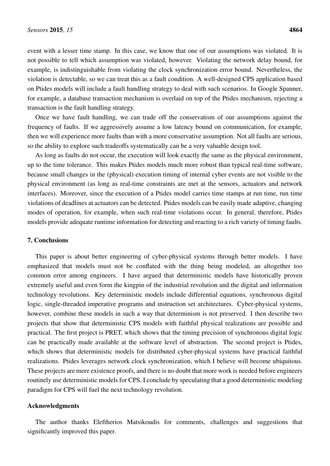event with a lesser time stamp. In this case, we know that one of our assumptions was violated. It is not possible to tell which assumption was violated, however. Violating the network delay bound, for example, is indistinguishable from violating the clock synchronization error bound. Nevertheless, the violation is detectable, so we can treat this as a fault condition. A well-designed CPS application based on Ptides models will include a fault handling strategy to deal with such scenarios. In Google Spanner, for example, a database transaction mechanism is overlaid on top of the Ptides mechanism, rejecting a transaction is the fault handling strategy.

Once we have fault handling, we can trade off the conservatism of our assumptions against the frequency of faults. If we aggressively assume a low latency bound on communication, for example, then we will experience more faults than with a more conservative assumption. Not all faults are serious, so the ability to explore such tradeoffs systematically can be a very valuable design tool.

As long as faults do not occur, the execution will look exactly the same as the physical environment, up to the time tolerance. This makes Ptides models much more robust than typical real-time software, because small changes in the (physical) execution timing of internal cyber events are not visible to the physical environment (as long as real-time constraints are met at the sensors, actuators and network interfaces). Moreover, since the execution of a Ptides model carries time stamps at run time, run time violations of deadlines at actuators can be detected. Ptides models can be easily made adaptive, changing modes of operation, for example, when such real-time violations occur. In general, therefore, Ptides models provide adequate runtime information for detecting and reacting to a rich variety of timing faults.

#### 7. Conclusions

This paper is about better engineering of cyber-physical systems through better models. I have emphasized that models must not be conflated with the thing being modeled, an altogether too common error among engineers. I have argued that deterministic models have historically proven extremely useful and even form the kingpin of the industrial revolution and the digital and information technology revolutions. Key deterministic models include differential equations, synchronous digital logic, single-threaded imperative programs and instruction set architectures. Cyber-physical systems, however, combine these models in such a way that determinism is not preserved. I then describe two projects that show that deterministic CPS models with faithful physical realizations are possible and practical. The first project is PRET, which shows that the timing precision of synchronous digital logic can be practically made available at the software level of abstraction. The second project is Ptides, which shows that deterministic models for distributed cyber-physical systems have practical faithful realizations. Ptides leverages network clock synchronization, which I believe will become ubiquitous. These projects are mere existence proofs, and there is no doubt that more work is needed before engineers routinely use deterministic models for CPS. I conclude by speculating that a good deterministic modeling paradigm for CPS will fuel the next technology revolution.

#### Acknowledgments

The author thanks Eleftherios Matsikoudis for comments, challenges and suggestions that significantly improved this paper.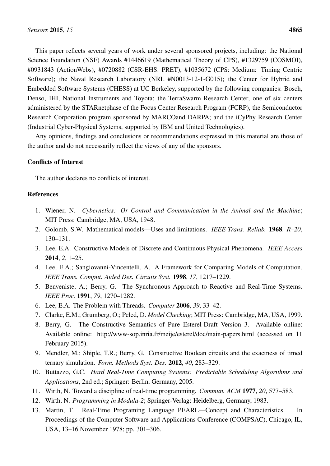This paper reflects several years of work under several sponsored projects, including: the National Science Foundation (NSF) Awards #1446619 (Mathematical Theory of CPS), #1329759 (COSMOI), #0931843 (ActionWebs), #0720882 (CSR-EHS: PRET), #1035672 (CPS: Medium: Timing Centric Software); the Naval Research Laboratory (NRL #N0013-12-1-G015); the Center for Hybrid and Embedded Software Systems (CHESS) at UC Berkeley, supported by the following companies: Bosch, Denso, IHI, National Instruments and Toyota; the TerraSwarm Research Center, one of six centers administered by the STARnetphase of the Focus Center Research Program (FCRP), the Semiconductor Research Corporation program sponsored by MARCOand DARPA; and the iCyPhy Research Center (Industrial Cyber-Physical Systems, supported by IBM and United Technologies).

Any opinions, findings and conclusions or recommendations expressed in this material are those of the author and do not necessarily reflect the views of any of the sponsors.

# Conflicts of Interest

The author declares no conflicts of interest.

## References

- <span id="page-28-0"></span>1. Wiener, N. *Cybernetics: Or Control and Communication in the Animal and the Machine*; MIT Press: Cambridge, MA, USA, 1948.
- <span id="page-28-1"></span>2. Golomb, S.W. Mathematical models—Uses and limitations. *IEEE Trans. Reliab.* 1968. *R–20*, 130–131.
- <span id="page-28-2"></span>3. Lee, E.A. Constructive Models of Discrete and Continuous Physical Phenomena. *IEEE Access* 2014, *2*, 1–25.
- <span id="page-28-3"></span>4. Lee, E.A.; Sangiovanni-Vincentelli, A. A Framework for Comparing Models of Computation. *IEEE Trans. Comput. Aided Des. Circuits Syst.* 1998, *17*, 1217–1229.
- <span id="page-28-4"></span>5. Benveniste, A.; Berry, G. The Synchronous Approach to Reactive and Real-Time Systems. *IEEE Proc.* 1991, *79*, 1270–1282.
- <span id="page-28-5"></span>6. Lee, E.A. The Problem with Threads. *Computer* 2006, *39*, 33–42.
- <span id="page-28-6"></span>7. Clarke, E.M.; Grumberg, O.; Peled, D. *Model Checking*; MIT Press: Cambridge, MA, USA, 1999.
- <span id="page-28-7"></span>8. Berry, G. The Constructive Semantics of Pure Esterel-Draft Version 3. Available online: Available online: http://www-sop.inria.fr/meije/esterel/doc/main-papers.html (accessed on 11 February 2015).
- <span id="page-28-8"></span>9. Mendler, M.; Shiple, T.R.; Berry, G. Constructive Boolean circuits and the exactness of timed ternary simulation. *Form. Methods Syst. Des.* 2012, *40*, 283–329.
- <span id="page-28-9"></span>10. Buttazzo, G.C. *Hard Real-Time Computing Systems: Predictable Scheduling Algorithms and Applications*, 2nd ed.; Springer: Berlin, Germany, 2005.
- <span id="page-28-10"></span>11. Wirth, N. Toward a discipline of real-time programming. *Commun. ACM* 1977, *20*, 577–583.
- <span id="page-28-11"></span>12. Wirth, N. *Programming in Modula-2*; Springer-Verlag: Heidelberg, Germany, 1983.
- <span id="page-28-12"></span>13. Martin, T. Real-Time Programing Language PEARL—Concept and Characteristics. In Proceedings of the Computer Software and Applications Conference (COMPSAC), Chicago, IL, USA, 13–16 November 1978; pp. 301–306.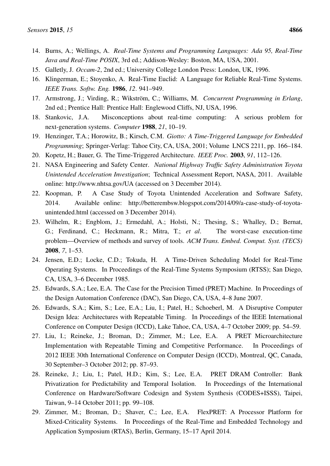- <span id="page-29-0"></span>14. Burns, A.; Wellings, A. *Real-Time Systems and Programming Languages: Ada 95, Real-Time Java and Real-Time POSIX*, 3rd ed.; Addison-Wesley: Boston, MA, USA, 2001.
- <span id="page-29-1"></span>15. Galletly, J. *Occam-2*, 2nd ed.; University College London Press: London, UK, 1996.
- <span id="page-29-2"></span>16. Klingerman, E.; Stoyenko, A. Real-Time Euclid: A Language for Reliable Real-Time Systems. *IEEE Trans. Softw. Eng.* 1986, *12*. 941–949.
- <span id="page-29-3"></span>17. Armstrong, J.; Virding, R.; Wikström, C.; Williams, M. *Concurrent Programming in Erlang*, 2nd ed.; Prentice Hall: Prentice Hall: Englewood Cliffs, NJ, USA, 1996.
- <span id="page-29-4"></span>18. Stankovic, J.A. Misconceptions about real-time computing: A serious problem for next-generation systems. *Computer* 1988, *21*, 10–19.
- <span id="page-29-5"></span>19. Henzinger, T.A.; Horowitz, B.; Kirsch, C.M. *Giotto: A Time-Triggered Language for Embedded Programming*; Springer-Verlag: Tahoe City, CA, USA, 2001; Volume LNCS 2211, pp. 166–184.
- <span id="page-29-6"></span>20. Kopetz, H.; Bauer, G. The Time-Triggered Architecture. *IEEE Proc.* 2003, *91*, 112–126.
- <span id="page-29-7"></span>21. NASA Engineering and Safety Center. *National Highway Traffic Safety Administration Toyota Unintended Acceleration Investigation*; Technical Assessment Report, NASA, 2011. Available online: http://www.nhtsa.gov/UA (accessed on 3 December 2014).
- <span id="page-29-8"></span>22. Koopman, P. A Case Study of Toyota Unintended Acceleration and Software Safety, 2014. Available online: http://betterembsw.blogspot.com/2014/09/a-case-study-of-toyotaunintended.html (accessed on 3 December 2014).
- <span id="page-29-9"></span>23. Wilhelm, R.; Engblom, J.; Ermedahl, A.; Holsti, N.; Thesing, S.; Whalley, D.; Bernat, G.; Ferdinand, C.; Heckmann, R.; Mitra, T.; *et al*. The worst-case execution-time problem—Overview of methods and survey of tools. *ACM Trans. Embed. Comput. Syst. (TECS)* 2008, *7*, 1–53.
- <span id="page-29-10"></span>24. Jensen, E.D.; Locke, C.D.; Tokuda, H. A Time-Driven Scheduling Model for Real-Time Operating Systems. In Proceedings of the Real-Time Systems Symposium (RTSS); San Diego, CA, USA, 3–6 December 1985.
- <span id="page-29-11"></span>25. Edwards, S.A.; Lee, E.A. The Case for the Precision Timed (PRET) Machine. In Proceedings of the Design Automation Conference (DAC), San Diego, CA, USA, 4–8 June 2007.
- <span id="page-29-12"></span>26. Edwards, S.A.; Kim, S.; Lee, E.A.; Liu, I.; Patel, H.; Schoeberl, M. A Disruptive Computer Design Idea: Architectures with Repeatable Timing. In Proceedings of the IEEE International Conference on Computer Design (ICCD), Lake Tahoe, CA, USA, 4–7 October 2009; pp. 54–59.
- <span id="page-29-13"></span>27. Liu, I.; Reineke, J.; Broman, D.; Zimmer, M.; Lee, E.A. A PRET Microarchitecture Implementation with Repeatable Timing and Competitive Performance. In Proceedings of 2012 IEEE 30th International Conference on Computer Design (ICCD), Montreal, QC, Canada, 30 September–3 October 2012; pp. 87–93.
- <span id="page-29-14"></span>28. Reineke, J.; Liu, I.; Patel, H.D.; Kim, S.; Lee, E.A. PRET DRAM Controller: Bank Privatization for Predictability and Temporal Isolation. In Proceedings of the International Conference on Hardware/Software Codesign and System Synthesis (CODES+ISSS), Taipei, Taiwan, 9–14 October 2011; pp. 99–108.
- <span id="page-29-15"></span>29. Zimmer, M.; Broman, D.; Shaver, C.; Lee, E.A. FlexPRET: A Processor Platform for Mixed-Criticality Systems. In Proceedings of the Real-Time and Embedded Technology and Application Symposium (RTAS), Berlin, Germany, 15–17 April 2014.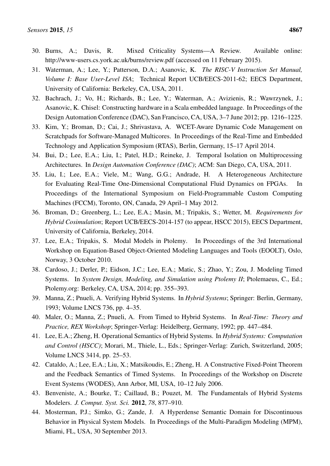- <span id="page-30-0"></span>30. Burns, A.; Davis, R. Mixed Criticality Systems—A Review. Available online: http://www-users.cs.york.ac.uk/burns/review.pdf (accessed on 11 February 2015).
- <span id="page-30-1"></span>31. Waterman, A.; Lee, Y.; Patterson, D.A.; Asanovic, K. *The RISC-V Instruction Set Manual, Volume I: Base User-Level ISA*; Technical Report UCB/EECS-2011-62; EECS Department, University of California: Berkeley, CA, USA, 2011.
- <span id="page-30-2"></span>32. Bachrach, J.; Vo, H.; Richards, B.; Lee, Y.; Waterman, A.; Avizienis, R.; Wawrzynek, J.; Asanovic, K. Chisel: Constructing hardware in a Scala embedded language. In Proceedings of the Design Automation Conference (DAC), San Francisco, CA, USA, 3–7 June 2012; pp. 1216–1225.
- <span id="page-30-3"></span>33. Kim, Y.; Broman, D.; Cai, J.; Shrivastava, A. WCET-Aware Dynamic Code Management on Scratchpads for Software-Managed Multicores. In Proceedings of the Real-Time and Embedded Technology and Application Symposium (RTAS), Berlin, Germany, 15–17 April 2014.
- <span id="page-30-4"></span>34. Bui, D.; Lee, E.A.; Liu, I.; Patel, H.D.; Reineke, J. Temporal Isolation on Multiprocessing Architectures. In *Design Automation Conference (DAC)*; ACM: San Diego, CA, USA, 2011.
- <span id="page-30-5"></span>35. Liu, I.; Lee, E.A.; Viele, M.; Wang, G.G.; Andrade, H. A Heterogeneous Architecture for Evaluating Real-Time One-Dimensional Computational Fluid Dynamics on FPGAs. In Proceedings of the International Symposium on Field-Programmable Custom Computing Machines (FCCM), Toronto, ON, Canada, 29 April–1 May 2012.
- <span id="page-30-6"></span>36. Broman, D.; Greenberg, L.; Lee, E.A.; Masin, M.; Tripakis, S.; Wetter, M. *Requirements for Hybrid Cosimulation*; Report UCB/EECS-2014-157 (to appear, HSCC 2015), EECS Department, University of California, Berkeley, 2014.
- <span id="page-30-7"></span>37. Lee, E.A.; Tripakis, S. Modal Models in Ptolemy. In Proceedings of the 3rd International Workshop on Equation-Based Object-Oriented Modeling Languages and Tools (EOOLT), Oslo, Norway, 3 October 2010.
- <span id="page-30-8"></span>38. Cardoso, J.; Derler, P.; Eidson, J.C.; Lee, E.A.; Matic, S.; Zhao, Y.; Zou, J. Modeling Timed Systems. In *System Design, Modeling, and Simulation using Ptolemy II*; Ptolemaeus, C., Ed.; Ptolemy.org: Berkeley, CA, USA, 2014; pp. 355–393.
- <span id="page-30-9"></span>39. Manna, Z.; Pnueli, A. Verifying Hybrid Systems. In *Hybrid Systems*; Springer: Berlin, Germany, 1993; Volume LNCS 736, pp. 4–35.
- 40. Maler, O.; Manna, Z.; Pnueli, A. From Timed to Hybrid Systems. In *Real-Time: Theory and Practice, REX Workshop*; Springer-Verlag: Heidelberg, Germany, 1992; pp. 447–484.
- 41. Lee, E.A.; Zheng, H. Operational Semantics of Hybrid Systems. In *Hybrid Systems: Computation and Control (HSCC)*; Morari, M., Thiele, L., Eds.; Springer-Verlag: Zurich, Switzerland, 2005; Volume LNCS 3414, pp. 25–53.
- <span id="page-30-10"></span>42. Cataldo, A.; Lee, E.A.; Liu, X.; Matsikoudis, E.; Zheng, H. A Constructive Fixed-Point Theorem and the Feedback Semantics of Timed Systems. In Proceedings of the Workshop on Discrete Event Systems (WODES), Ann Arbor, MI, USA, 10–12 July 2006.
- <span id="page-30-11"></span>43. Benveniste, A.; Bourke, T.; Caillaud, B.; Pouzet, M. The Fundamentals of Hybrid Systems Modelers. *J. Comput. Syst. Sci.* 2012, *78*, 877–910.
- 44. Mosterman, P.J.; Simko, G.; Zande, J. A Hyperdense Semantic Domain for Discontinuous Behavior in Physical System Models. In Proceedings of the Multi-Paradigm Modeling (MPM), Miami, FL, USA, 30 September 2013.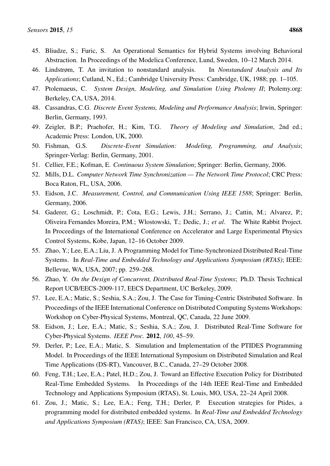- <span id="page-31-0"></span>45. Bliudze, S.; Furic, S. An Operational Semantics for Hybrid Systems involving Behavioral Abstraction. In Proceedings of the Modelica Conference, Lund, Sweden, 10–12 March 2014.
- <span id="page-31-1"></span>46. Lindstrøm, T. An invitation to nonstandard analysis. In *Nonstandard Analysis and Its Applications*; Cutland, N., Ed.; Cambridge University Press: Cambridge, UK, 1988; pp. 1–105.
- <span id="page-31-2"></span>47. Ptolemaeus, C. *System Design, Modeling, and Simulation Using Ptolemy II*; Ptolemy.org: Berkeley, CA, USA, 2014.
- <span id="page-31-3"></span>48. Cassandras, C.G. *Discrete Event Systems, Modeling and Performance Analysis*; Irwin, Springer: Berlin, Germany, 1993.
- 49. Zeigler, B.P.; Praehofer, H.; Kim, T.G. *Theory of Modeling and Simulation*, 2nd ed.; Academic Press: London, UK, 2000.
- <span id="page-31-4"></span>50. Fishman, G.S. *Discrete-Event Simulation: Modeling, Programming, and Analysis*; Springer-Verlag: Berlin, Germany, 2001.
- <span id="page-31-5"></span>51. Cellier, F.E.; Kofman, E. *Continuous System Simulation*; Springer: Berlin, Germany, 2006.
- <span id="page-31-6"></span>52. Mills, D.L. *Computer Network Time Synchronization — The Network Time Protocol*; CRC Press: Boca Raton, FL, USA, 2006.
- <span id="page-31-7"></span>53. Eidson, J.C. *Measurement, Control, and Communication Using IEEE 1588*; Springer: Berlin, Germany, 2006.
- <span id="page-31-8"></span>54. Gaderer, G.; Loschmidt, P.; Cota, E.G.; Lewis, J.H.; Serrano, J.; Cattin, M.; Alvarez, P.; Oliveira Fernandes Moreira, P.M.; Wlostowski, T.; Dedic, J.; *et al*. The White Rabbit Project. In Proceedings of the International Conference on Accelerator and Large Experimental Physics Control Systems, Kobe, Japan, 12–16 October 2009.
- <span id="page-31-9"></span>55. Zhao, Y.; Lee, E.A.; Liu, J. A Programming Model for Time-Synchronized Distributed Real-Time Systems. In *Real-Time and Embedded Technology and Applications Symposium (RTAS)*; IEEE: Bellevue, WA, USA, 2007; pp. 259–268.
- <span id="page-31-10"></span>56. Zhao, Y. *On the Design of Concurrent, Distributed Real-Time Systems*; Ph.D. Thesis Technical Report UCB/EECS-2009-117, EECS Department, UC Berkeley, 2009.
- <span id="page-31-11"></span>57. Lee, E.A.; Matic, S.; Seshia, S.A.; Zou, J. The Case for Timing-Centric Distributed Software. In Proceedings of the IEEE International Conference on Distributed Computing Systems Workshops: Workshop on Cyber-Physical Systems, Montreal, QC, Canada, 22 June 2009.
- <span id="page-31-12"></span>58. Eidson, J.; Lee, E.A.; Matic, S.; Seshia, S.A.; Zou, J. Distributed Real-Time Software for Cyber-Physical Systems. *IEEE Proc.* 2012, *100*, 45–59.
- <span id="page-31-13"></span>59. Derler, P.; Lee, E.A.; Matic, S. Simulation and Implementation of the PTIDES Programming Model. In Proceedings of the IEEE International Symposium on Distributed Simulation and Real Time Applications (DS-RT), Vancouver, B.C., Canada, 27–29 October 2008.
- <span id="page-31-14"></span>60. Feng, T.H.; Lee, E.A.; Patel, H.D.; Zou, J. Toward an Effective Execution Policy for Distributed Real-Time Embedded Systems. In Proceedings of the 14th IEEE Real-Time and Embedded Technology and Applications Symposium (RTAS), St. Louis, MO, USA, 22–24 April 2008.
- <span id="page-31-15"></span>61. Zou, J.; Matic, S.; Lee, E.A.; Feng, T.H.; Derler, P. Execution strategies for Ptides, a programming model for distributed embedded systems. In *Real-Time and Embedded Technology and Applications Symposium (RTAS)*; IEEE: San Francisco, CA, USA, 2009.